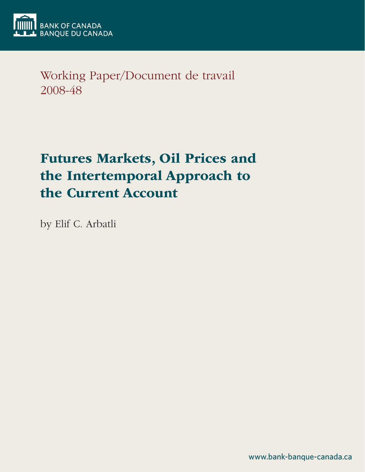

Working Paper/Document de travail 2008-48

# Futures Markets, Oil Prices and the Intertemporal Approach to the Current Account

by Elif C. Arbatli

www.bank-banque-canada.ca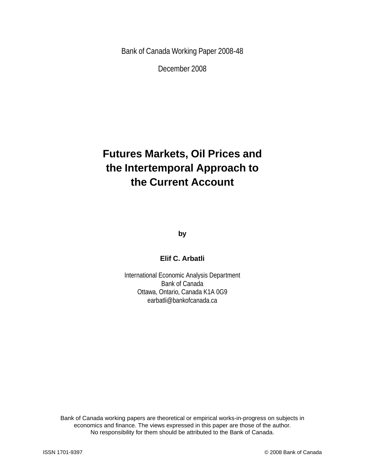Bank of Canada Working Paper 2008-48

December 2008

## **Futures Markets, Oil Prices and the Intertemporal Approach to the Current Account**

**by**

**Elif C. Arbatli**

International Economic Analysis Department Bank of Canada Ottawa, Ontario, Canada K1A 0G9 earbatli@bankofcanada.ca

Bank of Canada working papers are theoretical or empirical works-in-progress on subjects in economics and finance. The views expressed in this paper are those of the author. No responsibility for them should be attributed to the Bank of Canada.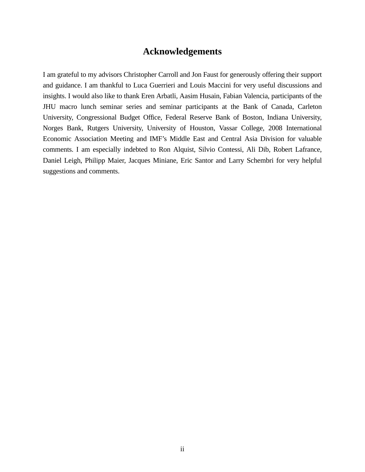## **Acknowledgements**

I am grateful to my advisors Christopher Carroll and Jon Faust for generously offering their support and guidance. I am thankful to Luca Guerrieri and Louis Maccini for very useful discussions and insights. I would also like to thank Eren Arbatli, Aasim Husain, Fabian Valencia, participants of the JHU macro lunch seminar series and seminar participants at the Bank of Canada, Carleton University, Congressional Budget Office, Federal Reserve Bank of Boston, Indiana University, Norges Bank, Rutgers University, University of Houston, Vassar College, 2008 International Economic Association Meeting and IMF's Middle East and Central Asia Division for valuable comments. I am especially indebted to Ron Alquist, Silvio Contessi, Ali Dib, Robert Lafrance, Daniel Leigh, Philipp Maier, Jacques Miniane, Eric Santor and Larry Schembri for very helpful suggestions and comments.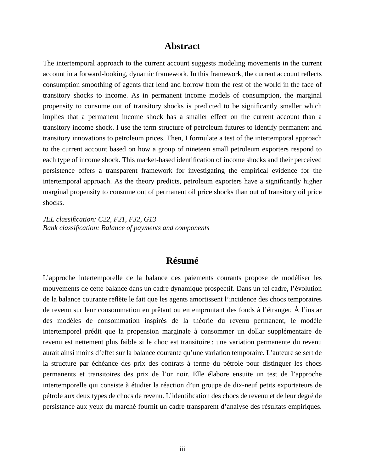## **Abstract**

The intertemporal approach to the current account suggests modeling movements in the current account in a forward-looking, dynamic framework. In this framework, the current account reflects consumption smoothing of agents that lend and borrow from the rest of the world in the face of transitory shocks to income. As in permanent income models of consumption, the marginal propensity to consume out of transitory shocks is predicted to be significantly smaller which implies that a permanent income shock has a smaller effect on the current account than a transitory income shock. I use the term structure of petroleum futures to identify permanent and transitory innovations to petroleum prices. Then, I formulate a test of the intertemporal approach to the current account based on how a group of nineteen small petroleum exporters respond to each type of income shock. This market-based identification of income shocks and their perceived persistence offers a transparent framework for investigating the empirical evidence for the intertemporal approach. As the theory predicts, petroleum exporters have a significantly higher marginal propensity to consume out of permanent oil price shocks than out of transitory oil price shocks.

*JEL classification: C22, F21, F32, G13 Bank classification: Balance of payments and components*

## **Résumé**

L'approche intertemporelle de la balance des paiements courants propose de modéliser les mouvements de cette balance dans un cadre dynamique prospectif. Dans un tel cadre, l'évolution de la balance courante reflète le fait que les agents amortissent l'incidence des chocs temporaires de revenu sur leur consommation en prêtant ou en empruntant des fonds à l'étranger. À l'instar des modèles de consommation inspirés de la théorie du revenu permanent, le modèle intertemporel prédit que la propension marginale à consommer un dollar supplémentaire de revenu est nettement plus faible si le choc est transitoire : une variation permanente du revenu aurait ainsi moins d'effet sur la balance courante qu'une variation temporaire. L'auteure se sert de la structure par échéance des prix des contrats à terme du pétrole pour distinguer les chocs permanents et transitoires des prix de l'or noir. Elle élabore ensuite un test de l'approche intertemporelle qui consiste à étudier la réaction d'un groupe de dix-neuf petits exportateurs de pétrole aux deux types de chocs de revenu. L'identification des chocs de revenu et de leur degré de persistance aux yeux du marché fournit un cadre transparent d'analyse des résultats empiriques.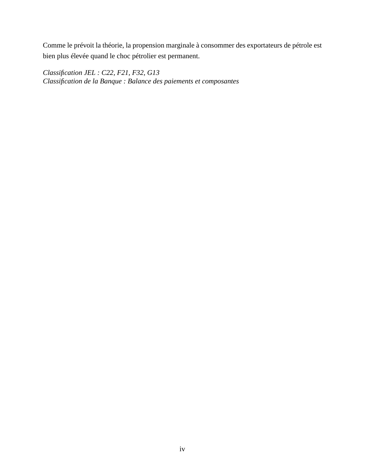Comme le prévoit la théorie, la propension marginale à consommer des exportateurs de pétrole est bien plus élevée quand le choc pétrolier est permanent.

*Classification JEL : C22, F21, F32, G13 Classification de la Banque : Balance des paiements et composantes*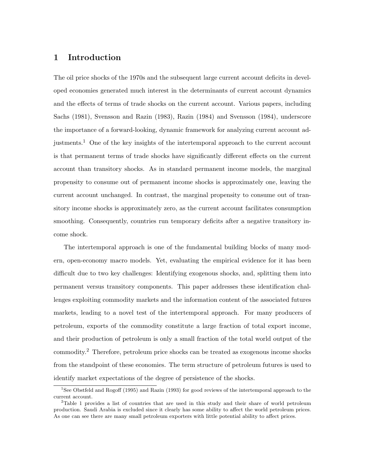## 1 Introduction

The oil price shocks of the 1970s and the subsequent large current account deficits in developed economies generated much interest in the determinants of current account dynamics and the effects of terms of trade shocks on the current account. Various papers, including Sachs (1981), Svensson and Razin (1983), Razin (1984) and Svensson (1984), underscore the importance of a forward-looking, dynamic framework for analyzing current account adjustments.<sup>1</sup> One of the key insights of the intertemporal approach to the current account is that permanent terms of trade shocks have significantly different effects on the current account than transitory shocks. As in standard permanent income models, the marginal propensity to consume out of permanent income shocks is approximately one, leaving the current account unchanged. In contrast, the marginal propensity to consume out of transitory income shocks is approximately zero, as the current account facilitates consumption smoothing. Consequently, countries run temporary deficits after a negative transitory income shock.

The intertemporal approach is one of the fundamental building blocks of many modern, open-economy macro models. Yet, evaluating the empirical evidence for it has been difficult due to two key challenges: Identifying exogenous shocks, and, splitting them into permanent versus transitory components. This paper addresses these identification challenges exploiting commodity markets and the information content of the associated futures markets, leading to a novel test of the intertemporal approach. For many producers of petroleum, exports of the commodity constitute a large fraction of total export income, and their production of petroleum is only a small fraction of the total world output of the commodity.<sup>2</sup> Therefore, petroleum price shocks can be treated as exogenous income shocks from the standpoint of these economies. The term structure of petroleum futures is used to identify market expectations of the degree of persistence of the shocks.

<sup>&</sup>lt;sup>1</sup>See Obstfeld and Rogoff (1995) and Razin (1993) for good reviews of the intertemporal approach to the current account.

<sup>&</sup>lt;sup>2</sup>Table 1 provides a list of countries that are used in this study and their share of world petroleum production. Saudi Arabia is excluded since it clearly has some ability to affect the world petroleum prices. As one can see there are many small petroleum exporters with little potential ability to affect prices.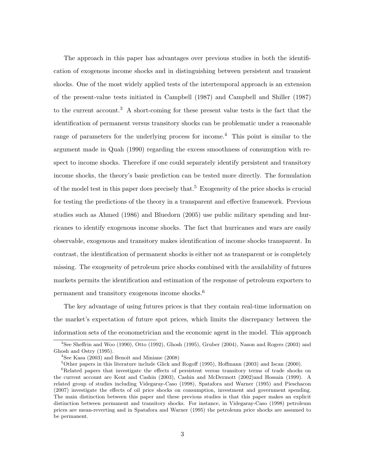The approach in this paper has advantages over previous studies in both the identification of exogenous income shocks and in distinguishing between persistent and transient shocks. One of the most widely applied tests of the intertemporal approach is an extension of the present-value tests initiated in Campbell (1987) and Campbell and Shiller (1987) to the current account.<sup>3</sup> A short-coming for these present value tests is the fact that the identification of permanent versus transitory shocks can be problematic under a reasonable range of parameters for the underlying process for income.<sup>4</sup> This point is similar to the argument made in Quah (1990) regarding the excess smoothness of consumption with respect to income shocks. Therefore if one could separately identify persistent and transitory income shocks, the theory's basic prediction can be tested more directly. The formulation of the model test in this paper does precisely that.<sup>5</sup> Exogeneity of the price shocks is crucial for testing the predictions of the theory in a transparent and effective framework. Previous studies such as Ahmed (1986) and Bluedorn (2005) use public military spending and hurricanes to identify exogenous income shocks. The fact that hurricanes and wars are easily observable, exogenous and transitory makes identification of income shocks transparent. In contrast, the identification of permanent shocks is either not as transparent or is completely missing. The exogeneity of petroleum price shocks combined with the availability of futures markets permits the identification and estimation of the response of petroleum exporters to permanent and transitory exogenous income shocks.<sup>6</sup>

The key advantage of using futures prices is that they contain real-time information on the market's expectation of future spot prices, which limits the discrepancy between the information sets of the econometrician and the economic agent in the model. This approach

<sup>3</sup>See Sheffrin and Woo (1990), Otto (1992), Ghosh (1995), Gruber (2004), Nason and Rogers (2003) and Ghosh and Ostry (1995).

 $4$ See Kasa (2003) and Benoît and Miniane (2008)

<sup>5</sup>Other papers in this literature include Glick and Rogoff (1995), Hoffmann (2003) and Iscan (2000).

<sup>&</sup>lt;sup>6</sup>Related papers that investigate the effects of persistent versus transitory terms of trade shocks on the current account are Kent and Cashin (2003), Cashin and McDermott (2002)and Hossain (1999). A related group of studies including Videgaray-Caso (1998), Spatafora and Warner (1995) and Pieschacon (2007) investigate the effects of oil price shocks on consumption, investment and government spending. The main distinction between this paper and these previous studies is that this paper makes an explicit distinction between permanent and transitory shocks. For instance, in Videgaray-Caso (1998) petroleum prices are mean-reverting and in Spatafora and Warner (1995) the petroleum price shocks are assumed to be permanent.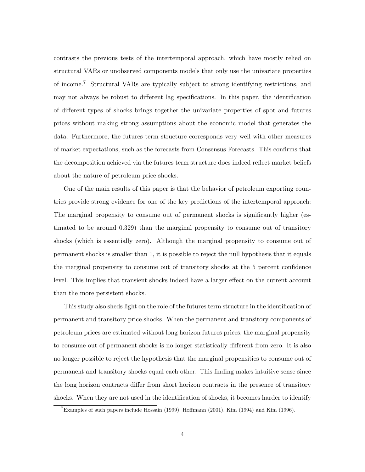contrasts the previous tests of the intertemporal approach, which have mostly relied on structural VARs or unobserved components models that only use the univariate properties of income.<sup>7</sup> Structural VARs are typically subject to strong identifying restrictions, and may not always be robust to different lag specifications. In this paper, the identification of different types of shocks brings together the univariate properties of spot and futures prices without making strong assumptions about the economic model that generates the data. Furthermore, the futures term structure corresponds very well with other measures of market expectations, such as the forecasts from Consensus Forecasts. This confirms that the decomposition achieved via the futures term structure does indeed reflect market beliefs about the nature of petroleum price shocks.

One of the main results of this paper is that the behavior of petroleum exporting countries provide strong evidence for one of the key predictions of the intertemporal approach: The marginal propensity to consume out of permanent shocks is significantly higher (estimated to be around 0.329) than the marginal propensity to consume out of transitory shocks (which is essentially zero). Although the marginal propensity to consume out of permanent shocks is smaller than 1, it is possible to reject the null hypothesis that it equals the marginal propensity to consume out of transitory shocks at the 5 percent confidence level. This implies that transient shocks indeed have a larger effect on the current account than the more persistent shocks.

This study also sheds light on the role of the futures term structure in the identification of permanent and transitory price shocks. When the permanent and transitory components of petroleum prices are estimated without long horizon futures prices, the marginal propensity to consume out of permanent shocks is no longer statistically different from zero. It is also no longer possible to reject the hypothesis that the marginal propensities to consume out of permanent and transitory shocks equal each other. This finding makes intuitive sense since the long horizon contracts differ from short horizon contracts in the presence of transitory shocks. When they are not used in the identification of shocks, it becomes harder to identify

<sup>&</sup>lt;sup>7</sup>Examples of such papers include Hossain (1999), Hoffmann (2001), Kim (1994) and Kim (1996).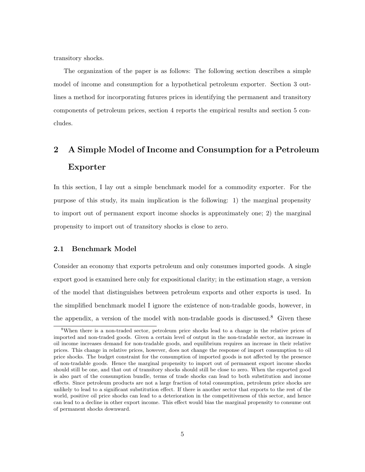transitory shocks.

The organization of the paper is as follows: The following section describes a simple model of income and consumption for a hypothetical petroleum exporter. Section 3 outlines a method for incorporating futures prices in identifying the permanent and transitory components of petroleum prices, section 4 reports the empirical results and section 5 concludes.

## 2 A Simple Model of Income and Consumption for a Petroleum Exporter

In this section, I lay out a simple benchmark model for a commodity exporter. For the purpose of this study, its main implication is the following: 1) the marginal propensity to import out of permanent export income shocks is approximately one; 2) the marginal propensity to import out of transitory shocks is close to zero.

#### 2.1 Benchmark Model

Consider an economy that exports petroleum and only consumes imported goods. A single export good is examined here only for expositional clarity; in the estimation stage, a version of the model that distinguishes between petroleum exports and other exports is used. In the simplified benchmark model I ignore the existence of non-tradable goods, however, in the appendix, a version of the model with non-tradable goods is discussed.<sup>8</sup> Given these

<sup>&</sup>lt;sup>8</sup>When there is a non-traded sector, petroleum price shocks lead to a change in the relative prices of imported and non-traded goods. Given a certain level of output in the non-tradable sector, an increase in oil income increases demand for non-tradable goods, and equilibrium requires an increase in their relative prices. This change in relative prices, however, does not change the response of import consumption to oil price shocks. The budget constraint for the consumption of imported goods is not affected by the presence of non-tradable goods. Hence the marginal propensity to import out of permanent export income shocks should still be one, and that out of transitory shocks should still be close to zero. When the exported good is also part of the consumption bundle, terms of trade shocks can lead to both substitution and income effects. Since petroleum products are not a large fraction of total consumption, petroleum price shocks are unlikely to lead to a significant substitution effect. If there is another sector that exports to the rest of the world, positive oil price shocks can lead to a deterioration in the competitiveness of this sector, and hence can lead to a decline in other export income. This effect would bias the marginal propensity to consume out of permanent shocks downward.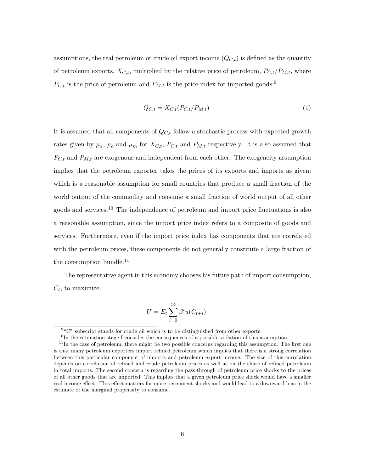assumptions, the real petroleum or crude oil export income  $(Q_{C,t})$  is defined as the quantity of petroleum exports,  $X_{C,t}$ , multiplied by the relative price of petroleum,  $P_{C,t}/P_{M,t}$ , where  $P_{C,t}$  is the price of petroleum and  $P_{M,t}$  is the price index for imported goods:<sup>9</sup>

$$
Q_{C,t} = X_{C,t}(P_{C,t}/P_{M,t})
$$
\n<sup>(1)</sup>

It is assumed that all components of  $Q_{C,t}$  follow a stochastic process with expected growth rates given by  $\mu_x$ ,  $\mu_c$  and  $\mu_m$  for  $X_{C,t}$ ,  $P_{C,t}$  and  $P_{M,t}$  respectively. It is also assumed that  $P_{C,t}$  and  $P_{M,t}$  are exogenous and independent from each other. The exogeneity assumption implies that the petroleum exporter takes the prices of its exports and imports as given; which is a reasonable assumption for small countries that produce a small fraction of the world output of the commodity and consume a small fraction of world output of all other goods and services.<sup>10</sup> The independence of petroleum and import price fluctuations is also a reasonable assumption, since the import price index refers to a composite of goods and services. Furthermore, even if the import price index has components that are correlated with the petroleum prices, these components do not generally constitute a large fraction of the consumption bundle.<sup>11</sup>

The representative agent in this economy chooses his future path of import consumption,  $C_t$ , to maximize:

$$
U = E_t \sum_{i=0}^{\infty} \beta^i u(C_{t+i})
$$

<sup>&</sup>lt;sup>9</sup> "C" subscript stands for crude oil which is to be distinguished from other exports.

 $10$ In the estimation stage I consider the consequences of a possible violation of this assumption.

 $11$ In the case of petroleum, there might be two possible concerns regarding this assumption. The first one is that many petroleum exporters import refined petroleum which implies that there is a strong correlation between this particular component of imports and petroleum export income. The size of this correlation depends on correlation of refined and crude petroleum prices as well as on the share of refined petroleum in total imports. The second concern is regarding the pass-through of petroleum price shocks to the prices of all other goods that are imported. This implies that a given petroleum price shock would have a smaller real income effect. This effect matters for more permanent shocks and would lead to a downward bias in the estimate of the marginal propensity to consume.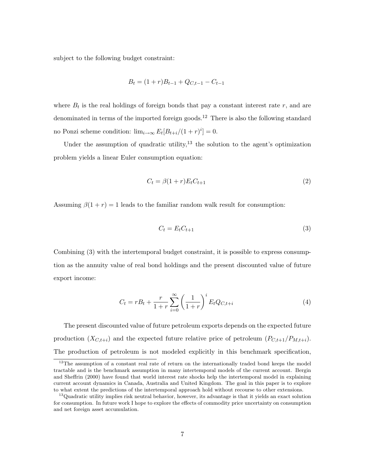subject to the following budget constraint:

$$
B_t = (1+r)B_{t-1} + Q_{C,t-1} - C_{t-1}
$$

where  $B_t$  is the real holdings of foreign bonds that pay a constant interest rate  $r$ , and are denominated in terms of the imported foreign goods.<sup>12</sup> There is also the following standard no Ponzi scheme condition:  $\lim_{i\to\infty} E_t[B_{t+i}/(1+r)^i] = 0$ .

Under the assumption of quadratic utility, $^{13}$  the solution to the agent's optimization problem yields a linear Euler consumption equation:

$$
C_t = \beta(1+r)E_t C_{t+1} \tag{2}
$$

Assuming  $\beta(1+r) = 1$  leads to the familiar random walk result for consumption:

$$
C_t = E_t C_{t+1} \tag{3}
$$

Combining (3) with the intertemporal budget constraint, it is possible to express consumption as the annuity value of real bond holdings and the present discounted value of future export income:

$$
C_t = rB_t + \frac{r}{1+r} \sum_{i=0}^{\infty} \left(\frac{1}{1+r}\right)^i E_t Q_{C,t+i}
$$
 (4)

The present discounted value of future petroleum exports depends on the expected future production  $(X_{C,t+i})$  and the expected future relative price of petroleum  $(P_{C,t+1}/P_{M,t+i})$ . The production of petroleum is not modeled explicitly in this benchmark specification,

 $12$ The assumption of a constant real rate of return on the internationally traded bond keeps the model tractable and is the benchmark assumption in many intertemporal models of the current account. Bergin and Sheffrin (2000) have found that world interest rate shocks help the intertemporal model in explaining current account dynamics in Canada, Australia and United Kingdom. The goal in this paper is to explore to what extent the predictions of the intertemporal approach hold without recourse to other extensions.

<sup>&</sup>lt;sup>13</sup>Quadratic utility implies risk neutral behavior, however, its advantage is that it yields an exact solution for consumption. In future work I hope to explore the effects of commodity price uncertainty on consumption and net foreign asset accumulation.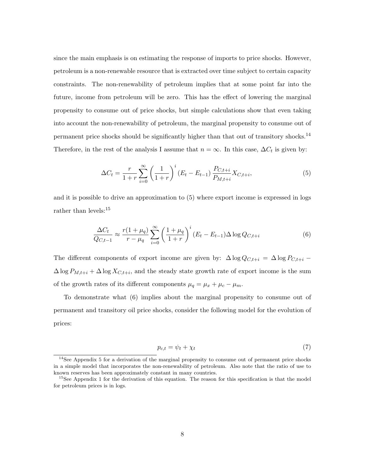since the main emphasis is on estimating the response of imports to price shocks. However, petroleum is a non-renewable resource that is extracted over time subject to certain capacity constraints. The non-renewability of petroleum implies that at some point far into the future, income from petroleum will be zero. This has the effect of lowering the marginal propensity to consume out of price shocks, but simple calculations show that even taking into account the non-renewability of petroleum, the marginal propensity to consume out of permanent price shocks should be significantly higher than that out of transitory shocks.<sup>14</sup> Therefore, in the rest of the analysis I assume that  $n = \infty$ . In this case,  $\Delta C_t$  is given by:

$$
\Delta C_t = \frac{r}{1+r} \sum_{i=0}^{\infty} \left(\frac{1}{1+r}\right)^i (E_t - E_{t-1}) \frac{P_{C,t+i}}{P_{M,t+i}} X_{C,t+i},\tag{5}
$$

and it is possible to drive an approximation to (5) where export income is expressed in logs rather than levels:<sup>15</sup>

$$
\frac{\Delta C_t}{Q_{C,t-1}} \approx \frac{r(1+\mu_q)}{r-\mu_q} \sum_{i=0}^{\infty} \left(\frac{1+\mu_q}{1+r}\right)^i (E_t - E_{t-1}) \Delta \log Q_{C,t+i}
$$
(6)

The different components of export income are given by:  $\Delta \log Q_{C,t+i} = \Delta \log P_{C,t+i}$  –  $\Delta \log P_{M,t+i} + \Delta \log X_{C,t+i}$ , and the steady state growth rate of export income is the sum of the growth rates of its different components  $\mu_q = \mu_x + \mu_c - \mu_m$ .

To demonstrate what (6) implies about the marginal propensity to consume out of permanent and transitory oil price shocks, consider the following model for the evolution of prices:

$$
p_{c,t} = \psi_t + \chi_t \tag{7}
$$

<sup>&</sup>lt;sup>14</sup>See Appendix 5 for a derivation of the marginal propensity to consume out of permanent price shocks in a simple model that incorporates the non-renewability of petroleum. Also note that the ratio of use to known reserves has been approximately constant in many countries.

<sup>&</sup>lt;sup>15</sup>See Appendix 1 for the derivation of this equation. The reason for this specification is that the model for petroleum prices is in logs.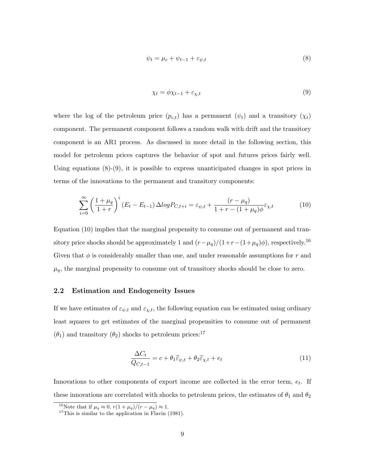$$
\psi_t = \mu_c + \psi_{t-1} + \varepsilon_{\psi, t} \tag{8}
$$

$$
\chi_t = \phi \chi_{t-1} + \varepsilon_{\chi, t} \tag{9}
$$

where the log of the petroleum price  $(p_{c,t})$  has a permanent  $(\psi_t)$  and a transitory  $(\chi_t)$ component. The permanent component follows a random walk with drift and the transitory component is an AR1 process. As discussed in more detail in the following section, this model for petroleum prices captures the behavior of spot and futures prices fairly well. Using equations  $(8)-(9)$ , it is possible to express unanticipated changes in spot prices in terms of the innovations to the permanent and transitory components:

$$
\sum_{i=0}^{\infty} \left(\frac{1+\mu_q}{1+r}\right)^i (E_t - E_{t-1}) \Delta log P_{C,t+i} = \varepsilon_{\psi,t} + \frac{(r-\mu_q)}{1+r-(1+\mu_q)\phi} \varepsilon_{\chi,t} \tag{10}
$$

Equation (10) implies that the marginal propensity to consume out of permanent and transitory price shocks should be approximately 1 and  $(r-\mu_q)/(1+r-(1+\mu_q)\phi)$ , respectively.<sup>16</sup> Given that  $\phi$  is considerably smaller than one, and under reasonable assumptions for r and  $\mu_q$ , the marginal propensity to consume out of transitory shocks should be close to zero.

#### 2.2 Estimation and Endogeneity Issues

If we have estimates of  $\varepsilon_{\psi,t}$  and  $\varepsilon_{\chi,t}$ , the following equation can be estimated using ordinary least squares to get estimates of the marginal propensities to consume out of permanent  $(\theta_1)$  and transitory  $(\theta_2)$  shocks to petroleum prices:<sup>17</sup>

$$
\frac{\Delta C_t}{Q_{C,t-1}} = c + \theta_1 \hat{\varepsilon}_{\psi,t} + \theta_2 \hat{\varepsilon}_{\chi,t} + e_t \tag{11}
$$

Innovations to other components of export income are collected in the error term,  $e_t$ . If these innovations are correlated with shocks to petroleum prices, the estimates of  $\theta_1$  and  $\theta_2$ 

<sup>&</sup>lt;sup>16</sup>Note that if  $\mu_q \approx 0$ ,  $r(1 + \mu_q)/(r - \mu_q) \approx 1$ .

 $17$ This is similar to the application in Flavin (1981).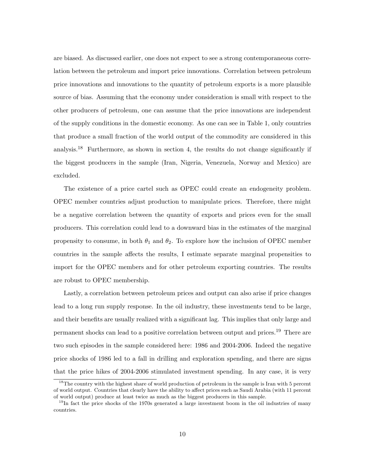are biased. As discussed earlier, one does not expect to see a strong contemporaneous correlation between the petroleum and import price innovations. Correlation between petroleum price innovations and innovations to the quantity of petroleum exports is a more plausible source of bias. Assuming that the economy under consideration is small with respect to the other producers of petroleum, one can assume that the price innovations are independent of the supply conditions in the domestic economy. As one can see in Table 1, only countries that produce a small fraction of the world output of the commodity are considered in this analysis.<sup>18</sup> Furthermore, as shown in section 4, the results do not change significantly if the biggest producers in the sample (Iran, Nigeria, Venezuela, Norway and Mexico) are excluded.

The existence of a price cartel such as OPEC could create an endogeneity problem. OPEC member countries adjust production to manipulate prices. Therefore, there might be a negative correlation between the quantity of exports and prices even for the small producers. This correlation could lead to a downward bias in the estimates of the marginal propensity to consume, in both  $\theta_1$  and  $\theta_2$ . To explore how the inclusion of OPEC member countries in the sample affects the results, I estimate separate marginal propensities to import for the OPEC members and for other petroleum exporting countries. The results are robust to OPEC membership.

Lastly, a correlation between petroleum prices and output can also arise if price changes lead to a long run supply response. In the oil industry, these investments tend to be large, and their benefits are usually realized with a significant lag. This implies that only large and permanent shocks can lead to a positive correlation between output and prices.<sup>19</sup> There are two such episodes in the sample considered here: 1986 and 2004-2006. Indeed the negative price shocks of 1986 led to a fall in drilling and exploration spending, and there are signs that the price hikes of 2004-2006 stimulated investment spending. In any case, it is very

<sup>&</sup>lt;sup>18</sup>The country with the highest share of world production of petroleum in the sample is Iran with 5 percent of world output. Countries that clearly have the ability to affect prices such as Saudi Arabia (with 11 percent of world output) produce at least twice as much as the biggest producers in this sample.

 $19$ In fact the price shocks of the 1970s generated a large investment boom in the oil industries of many countries.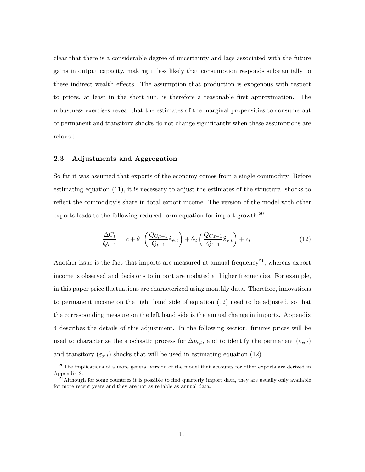clear that there is a considerable degree of uncertainty and lags associated with the future gains in output capacity, making it less likely that consumption responds substantially to these indirect wealth effects. The assumption that production is exogenous with respect to prices, at least in the short run, is therefore a reasonable first approximation. The robustness exercises reveal that the estimates of the marginal propensities to consume out of permanent and transitory shocks do not change significantly when these assumptions are relaxed.

#### 2.3 Adjustments and Aggregation

So far it was assumed that exports of the economy comes from a single commodity. Before estimating equation (11), it is necessary to adjust the estimates of the structural shocks to reflect the commodity's share in total export income. The version of the model with other exports leads to the following reduced form equation for import growth:<sup>20</sup>

$$
\frac{\Delta C_t}{Q_{t-1}} = c + \theta_1 \left( \frac{Q_{C,t-1}}{Q_{t-1}} \widehat{\varepsilon}_{\psi,t} \right) + \theta_2 \left( \frac{Q_{C,t-1}}{Q_{t-1}} \widehat{\varepsilon}_{\chi,t} \right) + e_t \tag{12}
$$

Another issue is the fact that imports are measured at annual frequency<sup>21</sup>, whereas export income is observed and decisions to import are updated at higher frequencies. For example, in this paper price fluctuations are characterized using monthly data. Therefore, innovations to permanent income on the right hand side of equation (12) need to be adjusted, so that the corresponding measure on the left hand side is the annual change in imports. Appendix 4 describes the details of this adjustment. In the following section, futures prices will be used to characterize the stochastic process for  $\Delta p_{c,t}$ , and to identify the permanent  $(\varepsilon_{\psi,t})$ and transitory  $(\varepsilon_{\chi,t})$  shocks that will be used in estimating equation (12).

<sup>&</sup>lt;sup>20</sup>The implications of a more general version of the model that accounts for other exports are derived in Appendix 3.

<sup>&</sup>lt;sup>21</sup>Although for some countries it is possible to find quarterly import data, they are usually only available for more recent years and they are not as reliable as annual data.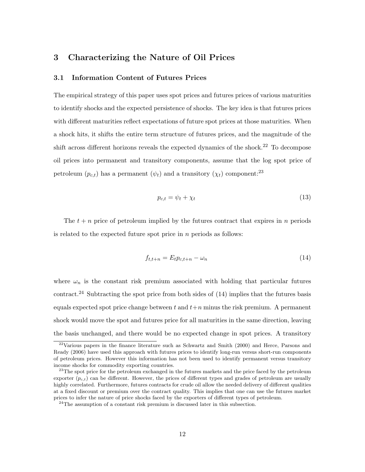### 3 Characterizing the Nature of Oil Prices

#### 3.1 Information Content of Futures Prices

The empirical strategy of this paper uses spot prices and futures prices of various maturities to identify shocks and the expected persistence of shocks. The key idea is that futures prices with different maturities reflect expectations of future spot prices at those maturities. When a shock hits, it shifts the entire term structure of futures prices, and the magnitude of the shift across different horizons reveals the expected dynamics of the shock.<sup>22</sup> To decompose oil prices into permanent and transitory components, assume that the log spot price of petroleum  $(p_{c,t})$  has a permanent  $(\psi_t)$  and a transitory  $(\chi_t)$  component:<sup>23</sup>

$$
p_{c,t} = \psi_t + \chi_t \tag{13}
$$

The  $t + n$  price of petroleum implied by the futures contract that expires in n periods is related to the expected future spot price in  $n$  periods as follows:

$$
f_{t,t+n} = E_t p_{c,t+n} - \omega_n \tag{14}
$$

where  $\omega_n$  is the constant risk premium associated with holding that particular futures contract.<sup>24</sup> Subtracting the spot price from both sides of  $(14)$  implies that the futures basis equals expected spot price change between t and  $t+n$  minus the risk premium. A permanent shock would move the spot and futures price for all maturities in the same direction, leaving the basis unchanged, and there would be no expected change in spot prices. A transitory

 $22\text{Various papers in the finance literature such as Schwartz and Smith (2000) and Here, Parsons and}$ Ready (2006) have used this approach with futures prices to identify long-run versus short-run components of petroleum prices. However this information has not been used to identify permanent versus transitory income shocks for commodity exporting countries.

<sup>&</sup>lt;sup>23</sup>The spot price for the petroleum exchanged in the futures markets and the price faced by the petroleum exporter  $(p_{c,t})$  can be different. However, the prices of different types and grades of petroleum are usually highly correlated. Furthermore, futures contracts for crude oil allow the needed delivery of different qualities at a fixed discount or premium over the contract quality. This implies that one can use the futures market prices to infer the nature of price shocks faced by the exporters of different types of petroleum.

 $24$ The assumption of a constant risk premium is discussed later in this subsection.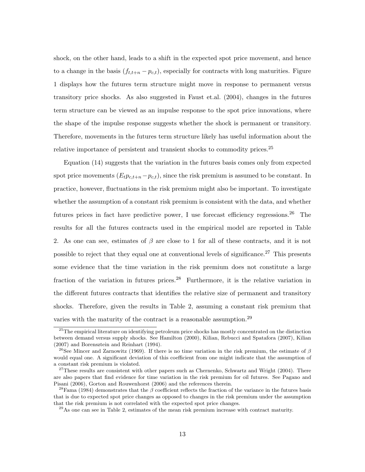shock, on the other hand, leads to a shift in the expected spot price movement, and hence to a change in the basis  $(f_{t,t+n} - p_{c,t})$ , especially for contracts with long maturities. Figure 1 displays how the futures term structure might move in response to permanent versus transitory price shocks. As also suggested in Faust et.al. (2004), changes in the futures term structure can be viewed as an impulse response to the spot price innovations, where the shape of the impulse response suggests whether the shock is permanent or transitory. Therefore, movements in the futures term structure likely has useful information about the relative importance of persistent and transient shocks to commodity prices.<sup>25</sup>

Equation (14) suggests that the variation in the futures basis comes only from expected spot price movements  $(E_t p_{c,t+n}-p_{c,t}),$  since the risk premium is assumed to be constant. In practice, however, fluctuations in the risk premium might also be important. To investigate whether the assumption of a constant risk premium is consistent with the data, and whether futures prices in fact have predictive power, I use forecast efficiency regressions.<sup>26</sup> The results for all the futures contracts used in the empirical model are reported in Table 2. As one can see, estimates of  $\beta$  are close to 1 for all of these contracts, and it is not possible to reject that they equal one at conventional levels of significance.<sup>27</sup> This presents some evidence that the time variation in the risk premium does not constitute a large fraction of the variation in futures prices.<sup>28</sup> Furthermore, it is the relative variation in the different futures contracts that identifies the relative size of permanent and transitory shocks. Therefore, given the results in Table 2, assuming a constant risk premium that varies with the maturity of the contract is a reasonable assumption.<sup>29</sup>

 $25$ The empirical literature on identifying petroleum price shocks has mostly concentrated on the distinction between demand versus supply shocks. See Hamilton (2000), Kilian, Rebucci and Spatafora (2007), Kilian (2007) and Borensztein and Reinhart (1994).

<sup>&</sup>lt;sup>26</sup>See Mincer and Zarnowitz (1969). If there is no time variation in the risk premium, the estimate of  $\beta$ would equal one. A significant deviation of this coefficient from one might indicate that the assumption of a constant risk premium is violated.

 $27$ These results are consistent with other papers such as Chernenko, Schwartz and Wright (2004). There are also papers that find evidence for time variation in the risk premium for oil futures. See Pagano and Pisani (2006), Gorton and Rouwenhorst (2006) and the references therein.

<sup>&</sup>lt;sup>28</sup>Fama (1984) demonstrates that the β coefficient reflects the fraction of the variance in the futures basis that is due to expected spot price changes as opposed to changes in the risk premium under the assumption that the risk premium is not correlated with the expected spot price changes.

 $29$ As one can see in Table 2, estimates of the mean risk premium increase with contract maturity.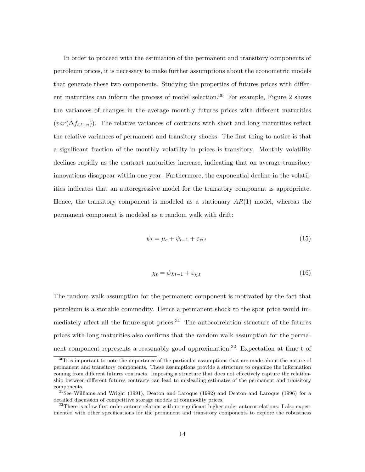In order to proceed with the estimation of the permanent and transitory components of petroleum prices, it is necessary to make further assumptions about the econometric models that generate these two components. Studying the properties of futures prices with different maturities can inform the process of model selection.<sup>30</sup> For example, Figure 2 shows the variances of changes in the average monthly futures prices with different maturities  $(var(\Delta f_{t,t+n}))$ . The relative variances of contracts with short and long maturities reflect the relative variances of permanent and transitory shocks. The first thing to notice is that a significant fraction of the monthly volatility in prices is transitory. Monthly volatility declines rapidly as the contract maturities increase, indicating that on average transitory innovations disappear within one year. Furthermore, the exponential decline in the volatilities indicates that an autoregressive model for the transitory component is appropriate. Hence, the transitory component is modeled as a stationary  $AR(1)$  model, whereas the permanent component is modeled as a random walk with drift:

$$
\psi_t = \mu_c + \psi_{t-1} + \varepsilon_{\psi, t} \tag{15}
$$

$$
\chi_t = \phi \chi_{t-1} + \varepsilon_{\chi,t} \tag{16}
$$

The random walk assumption for the permanent component is motivated by the fact that petroleum is a storable commodity. Hence a permanent shock to the spot price would immediately affect all the future spot prices.<sup>31</sup> The autocorrelation structure of the futures prices with long maturities also confirms that the random walk assumption for the permanent component represents a reasonably good approximation.<sup>32</sup> Expectation at time t of

<sup>&</sup>lt;sup>30</sup>It is important to note the importance of the particular assumptions that are made about the nature of permanent and transitory components. These assumptions provide a structure to organize the information coming from different futures contracts. Imposing a structure that does not effectively capture the relationship between different futures contracts can lead to misleading estimates of the permanent and transitory components.

 $31$ See Williams and Wright (1991), Deaton and Laroque (1992) and Deaton and Laroque (1996) for a detailed discussion of competitive storage models of commodity prices.

<sup>&</sup>lt;sup>32</sup>There is a low first order autocorrelation with no significant higher order autocorrelations. I also experimented with other specifications for the permanent and transitory components to explore the robustness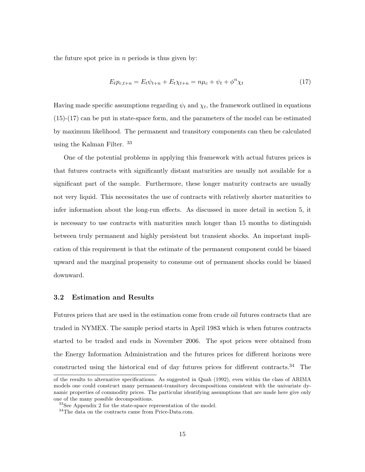the future spot price in  $n$  periods is thus given by:

$$
E_t p_{c,t+n} = E_t \psi_{t+n} + E_t \chi_{t+n} = n\mu_c + \psi_t + \phi^n \chi_t
$$
\n(17)

Having made specific assumptions regarding  $\psi_t$  and  $\chi_t$ , the framework outlined in equations (15)-(17) can be put in state-space form, and the parameters of the model can be estimated by maximum likelihood. The permanent and transitory components can then be calculated using the Kalman Filter. <sup>33</sup>

One of the potential problems in applying this framework with actual futures prices is that futures contracts with significantly distant maturities are usually not available for a significant part of the sample. Furthermore, these longer maturity contracts are usually not very liquid. This necessitates the use of contracts with relatively shorter maturities to infer information about the long-run effects. As discussed in more detail in section 5, it is necessary to use contracts with maturities much longer than 15 months to distinguish between truly permanent and highly persistent but transient shocks. An important implication of this requirement is that the estimate of the permanent component could be biased upward and the marginal propensity to consume out of permanent shocks could be biased downward.

#### 3.2 Estimation and Results

Futures prices that are used in the estimation come from crude oil futures contracts that are traded in NYMEX. The sample period starts in April 1983 which is when futures contracts started to be traded and ends in November 2006. The spot prices were obtained from the Energy Information Administration and the futures prices for different horizons were constructed using the historical end of day futures prices for different contracts.<sup>34</sup> The

of the results to alternative specifications. As suggested in Quah (1992), even within the class of ARIMA models one could construct many permanent-transitory decompositions consistent with the univariate dynamic properties of commodity prices. The particular identifying assumptions that are made here give only one of the many possible decompositions.

<sup>33</sup>See Appendix 2 for the state-space representation of the model.

<sup>34</sup>The data on the contracts came from Price-Data.com.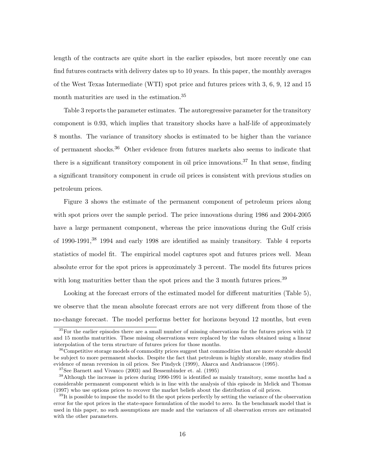length of the contracts are quite short in the earlier episodes, but more recently one can find futures contracts with delivery dates up to 10 years. In this paper, the monthly averages of the West Texas Intermediate (WTI) spot price and futures prices with 3, 6, 9, 12 and 15 month maturities are used in the estimation.<sup>35</sup>

Table 3 reports the parameter estimates. The autoregressive parameter for the transitory component is 0.93, which implies that transitory shocks have a half-life of approximately 8 months. The variance of transitory shocks is estimated to be higher than the variance of permanent shocks.<sup>36</sup> Other evidence from futures markets also seems to indicate that there is a significant transitory component in oil price innovations.<sup>37</sup> In that sense, finding a significant transitory component in crude oil prices is consistent with previous studies on petroleum prices.

Figure 3 shows the estimate of the permanent component of petroleum prices along with spot prices over the sample period. The price innovations during 1986 and 2004-2005 have a large permanent component, whereas the price innovations during the Gulf crisis of 1990-1991,<sup>38</sup> 1994 and early 1998 are identified as mainly transitory. Table 4 reports statistics of model fit. The empirical model captures spot and futures prices well. Mean absolute error for the spot prices is approximately 3 percent. The model fits futures prices with long maturities better than the spot prices and the 3 month futures prices.<sup>39</sup>

Looking at the forecast errors of the estimated model for different maturities (Table 5), we observe that the mean absolute forecast errors are not very different from those of the no-change forecast. The model performs better for horizons beyond 12 months, but even

 $35$ For the earlier episodes there are a small number of missing observations for the futures prices with 12 and 15 months maturities. These missing observations were replaced by the values obtained using a linear interpolation of the term structure of futures prices for those months.

 $36$ Competitive storage models of commodity prices suggest that commodities that are more storable should be subject to more permanent shocks. Despite the fact that petroleum is highly storable, many studies find evidence of mean reversion in oil prices. See Pindyck (1999), Akarca and Andrianacos (1995).

 $37$ See Barnett and Vivanco (2003) and Bessembinder et. al. (1995)

<sup>38</sup>Although the increase in prices during 1990-1991 is identified as mainly transitory, some months had a considerable permanent component which is in line with the analysis of this episode in Melick and Thomas (1997) who use options prices to recover the market beliefs about the distribution of oil prices.

 $39$ It is possible to impose the model to fit the spot prices perfectly by setting the variance of the observation error for the spot prices in the state-space formulation of the model to zero. In the benchmark model that is used in this paper, no such assumptions are made and the variances of all observation errors are estimated with the other parameters.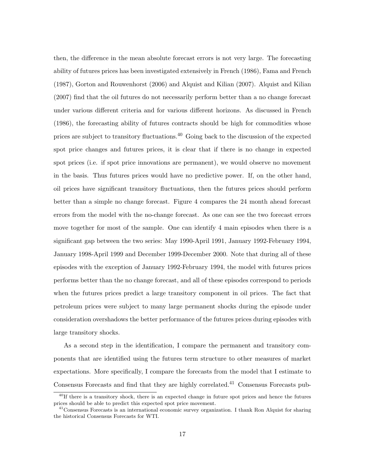then, the difference in the mean absolute forecast errors is not very large. The forecasting ability of futures prices has been investigated extensively in French (1986), Fama and French (1987), Gorton and Rouwenhorst (2006) and Alquist and Kilian (2007). Alquist and Kilian (2007) find that the oil futures do not necessarily perform better than a no change forecast under various different criteria and for various different horizons. As discussed in French (1986), the forecasting ability of futures contracts should be high for commodities whose prices are subject to transitory fluctuations.<sup>40</sup> Going back to the discussion of the expected spot price changes and futures prices, it is clear that if there is no change in expected spot prices (i.e. if spot price innovations are permanent), we would observe no movement in the basis. Thus futures prices would have no predictive power. If, on the other hand, oil prices have significant transitory fluctuations, then the futures prices should perform better than a simple no change forecast. Figure 4 compares the 24 month ahead forecast errors from the model with the no-change forecast. As one can see the two forecast errors move together for most of the sample. One can identify 4 main episodes when there is a significant gap between the two series: May 1990-April 1991, January 1992-February 1994, January 1998-April 1999 and December 1999-December 2000. Note that during all of these episodes with the exception of January 1992-February 1994, the model with futures prices performs better than the no change forecast, and all of these episodes correspond to periods when the futures prices predict a large transitory component in oil prices. The fact that petroleum prices were subject to many large permanent shocks during the episode under consideration overshadows the better performance of the futures prices during episodes with large transitory shocks.

As a second step in the identification, I compare the permanent and transitory components that are identified using the futures term structure to other measures of market expectations. More specifically, I compare the forecasts from the model that I estimate to Consensus Forecasts and find that they are highly correlated.<sup>41</sup> Consensus Forecasts pub-

<sup>&</sup>lt;sup>40</sup>If there is a transitory shock, there is an expected change in future spot prices and hence the futures prices should be able to predict this expected spot price movement.

 $^{41}$ Consensus Forecasts is an international economic survey organization. I thank Ron Alquist for sharing the historical Consensus Forecasts for WTI.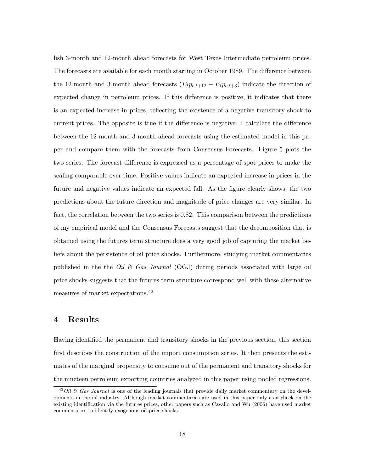lish 3-month and 12-month ahead forecasts for West Texas Intermediate petroleum prices. The forecasts are available for each month starting in October 1989. The difference between the 12-month and 3-month ahead forecasts  $(E_t p_{c,t+12} - E_t p_{c,t+3})$  indicate the direction of expected change in petroleum prices. If this difference is positive, it indicates that there is an expected increase in prices, reflecting the existence of a negative transitory shock to current prices. The opposite is true if the difference is negative. I calculate the difference between the 12-month and 3-month ahead forecasts using the estimated model in this paper and compare them with the forecasts from Consensus Forecasts. Figure 5 plots the two series. The forecast difference is expressed as a percentage of spot prices to make the scaling comparable over time. Positive values indicate an expected increase in prices in the future and negative values indicate an expected fall. As the figure clearly shows, the two predictions about the future direction and magnitude of price changes are very similar. In fact, the correlation between the two series is 0.82. This comparison between the predictions of my empirical model and the Consensus Forecasts suggest that the decomposition that is obtained using the futures term structure does a very good job of capturing the market beliefs about the persistence of oil price shocks. Furthermore, studying market commentaries published in the the Oil & Gas Journal (OGJ) during periods associated with large oil price shocks suggests that the futures term structure correspond well with these alternative measures of market expectations.<sup>42</sup>

#### 4 Results

Having identified the permanent and transitory shocks in the previous section, this section first describes the construction of the import consumption series. It then presents the estimates of the marginal propensity to consume out of the permanent and transitory shocks for the nineteen petroleum exporting countries analyzed in this paper using pooled regressions.

 $42$ Oil & Gas Journal is one of the leading journals that provide daily market commentary on the developments in the oil industry. Although market commentaries are used in this paper only as a check on the existing identification via the futures prices, other papers such as Cavallo and Wu (2006) have used market commentaries to identify exogenous oil price shocks.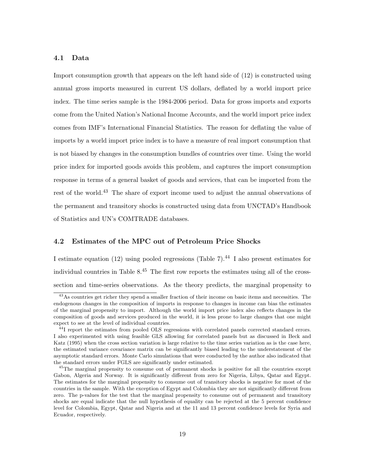#### 4.1 Data

Import consumption growth that appears on the left hand side of (12) is constructed using annual gross imports measured in current US dollars, deflated by a world import price index. The time series sample is the 1984-2006 period. Data for gross imports and exports come from the United Nation's National Income Accounts, and the world import price index comes from IMF's International Financial Statistics. The reason for deflating the value of imports by a world import price index is to have a measure of real import consumption that is not biased by changes in the consumption bundles of countries over time. Using the world price index for imported goods avoids this problem, and captures the import consumption response in terms of a general basket of goods and services, that can be imported from the rest of the world.<sup>43</sup> The share of export income used to adjust the annual observations of the permanent and transitory shocks is constructed using data from UNCTAD's Handbook of Statistics and UN's COMTRADE databases.

#### 4.2 Estimates of the MPC out of Petroleum Price Shocks

I estimate equation (12) using pooled regressions (Table 7).<sup>44</sup> I also present estimates for individual countries in Table  $8^{45}$  The first row reports the estimates using all of the crosssection and time-series observations. As the theory predicts, the marginal propensity to

<sup>&</sup>lt;sup>43</sup>As countries get richer they spend a smaller fraction of their income on basic items and necessities. The endogenous changes in the composition of imports in response to changes in income can bias the estimates of the marginal propensity to import. Although the world import price index also reflects changes in the composition of goods and services produced in the world, it is less prone to large changes that one might expect to see at the level of individual countries.

<sup>&</sup>lt;sup>44</sup>I report the estimates from pooled OLS regressions with correlated panels corrected standard errors. I also experimented with using feasible GLS allowing for correlated panels but as discussed in Beck and Katz (1995) when the cross section variation is large relative to the time series variation as is the case here, the estimated variance covariance matrix can be significantly biased leading to the understatement of the asymptotic standard errors. Monte Carlo simulations that were conducted by the author also indicated that the standard errors under FGLS are significantly under estimated.

<sup>&</sup>lt;sup>45</sup>The marginal propensity to consume out of permanent shocks is positive for all the countries except Gabon, Algeria and Norway. It is significantly different from zero for Nigeria, Libya, Qatar and Egypt. The estimates for the marginal propensity to consume out of transitory shocks is negative for most of the countries in the sample. With the exception of Egypt and Colombia they are not significantly different from zero. The p-values for the test that the marginal propensity to consume out of permanent and transitory shocks are equal indicate that the null hypothesis of equality can be rejected at the 5 percent confidence level for Colombia, Egypt, Qatar and Nigeria and at the 11 and 13 percent confidence levels for Syria and Ecuador, respectively.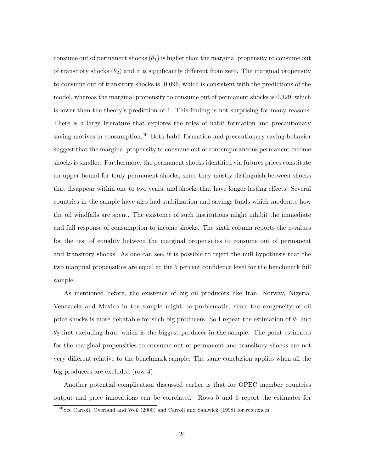consume out of permanent shocks  $(\theta_1)$  is higher than the marginal propensity to consume out of transitory shocks  $(\theta_2)$  and it is significantly different from zero. The marginal propensity to consume out of transitory shocks is -0.096, which is consistent with the predictions of the model, whereas the marginal propensity to consume out of permanent shocks is 0.329, which is lower than the theory's prediction of 1. This finding is not surprising for many reasons. There is a large literature that explores the roles of habit formation and precautionary saving motives in consumption.<sup>46</sup> Both habit formation and precautionary saving behavior suggest that the marginal propensity to consume out of contemporaneous permanent income shocks is smaller. Furthermore, the permanent shocks identified via futures prices constitute an upper bound for truly permanent shocks, since they mostly distinguish between shocks that disappear within one to two years, and shocks that have longer lasting effects. Several countries in the sample have also had stabilization and savings funds which moderate how the oil windfalls are spent. The existence of such institutions might inhibit the immediate and full response of consumption to income shocks. The sixth column reports the p-values for the test of equality between the marginal propensities to consume out of permanent and transitory shocks. As one can see, it is possible to reject the null hypothesis that the two marginal propensities are equal at the 5 percent confidence level for the benchmark full sample.

As mentioned before, the existence of big oil producers like Iran, Norway, Nigeria, Venezuela and Mexico in the sample might be problematic, since the exogeneity of oil price shocks is more debatable for such big producers. So I repeat the estimation of  $\theta_1$  and  $\theta_2$  first excluding Iran, which is the biggest producer in the sample. The point estimates for the marginal propensities to consume out of permanent and transitory shocks are not very different relative to the benchmark sample. The same conclusion applies when all the big producers are excluded (row 4).

Another potential complication discussed earlier is that for OPEC member countries output and price innovations can be correlated. Rows 5 and 6 report the estimates for

<sup>46</sup>See Carroll, Overland and Weil (2000) and Carroll and Samwick (1998) for references.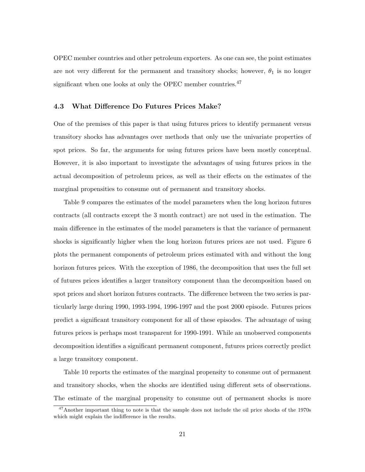OPEC member countries and other petroleum exporters. As one can see, the point estimates are not very different for the permanent and transitory shocks; however,  $\theta_1$  is no longer significant when one looks at only the OPEC member countries.<sup>47</sup>

#### 4.3 What Difference Do Futures Prices Make?

One of the premises of this paper is that using futures prices to identify permanent versus transitory shocks has advantages over methods that only use the univariate properties of spot prices. So far, the arguments for using futures prices have been mostly conceptual. However, it is also important to investigate the advantages of using futures prices in the actual decomposition of petroleum prices, as well as their effects on the estimates of the marginal propensities to consume out of permanent and transitory shocks.

Table 9 compares the estimates of the model parameters when the long horizon futures contracts (all contracts except the 3 month contract) are not used in the estimation. The main difference in the estimates of the model parameters is that the variance of permanent shocks is significantly higher when the long horizon futures prices are not used. Figure 6 plots the permanent components of petroleum prices estimated with and without the long horizon futures prices. With the exception of 1986, the decomposition that uses the full set of futures prices identifies a larger transitory component than the decomposition based on spot prices and short horizon futures contracts. The difference between the two series is particularly large during 1990, 1993-1994, 1996-1997 and the post 2000 episode. Futures prices predict a significant transitory component for all of these episodes. The advantage of using futures prices is perhaps most transparent for 1990-1991. While an unobserved components decomposition identifies a significant permanent component, futures prices correctly predict a large transitory component.

Table 10 reports the estimates of the marginal propensity to consume out of permanent and transitory shocks, when the shocks are identified using different sets of observations. The estimate of the marginal propensity to consume out of permanent shocks is more

<sup>&</sup>lt;sup>47</sup>Another important thing to note is that the sample does not include the oil price shocks of the 1970s which might explain the indifference in the results.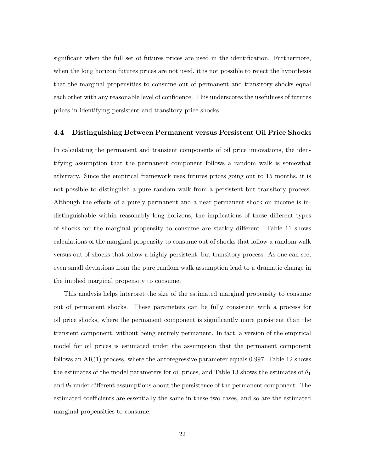significant when the full set of futures prices are used in the identification. Furthermore, when the long horizon futures prices are not used, it is not possible to reject the hypothesis that the marginal propensities to consume out of permanent and transitory shocks equal each other with any reasonable level of confidence. This underscores the usefulness of futures prices in identifying persistent and transitory price shocks.

#### 4.4 Distinguishing Between Permanent versus Persistent Oil Price Shocks

In calculating the permanent and transient components of oil price innovations, the identifying assumption that the permanent component follows a random walk is somewhat arbitrary. Since the empirical framework uses futures prices going out to 15 months, it is not possible to distinguish a pure random walk from a persistent but transitory process. Although the effects of a purely permanent and a near permanent shock on income is indistinguishable within reasonably long horizons, the implications of these different types of shocks for the marginal propensity to consume are starkly different. Table 11 shows calculations of the marginal propensity to consume out of shocks that follow a random walk versus out of shocks that follow a highly persistent, but transitory process. As one can see, even small deviations from the pure random walk assumption lead to a dramatic change in the implied marginal propensity to consume.

This analysis helps interpret the size of the estimated marginal propensity to consume out of permanent shocks. These parameters can be fully consistent with a process for oil price shocks, where the permanent component is significantly more persistent than the transient component, without being entirely permanent. In fact, a version of the empirical model for oil prices is estimated under the assumption that the permanent component follows an  $AR(1)$  process, where the autoregressive parameter equals 0.997. Table 12 shows the estimates of the model parameters for oil prices, and Table 13 shows the estimates of  $\theta_1$ and  $\theta_2$  under different assumptions about the persistence of the permanent component. The estimated coefficients are essentially the same in these two cases, and so are the estimated marginal propensities to consume.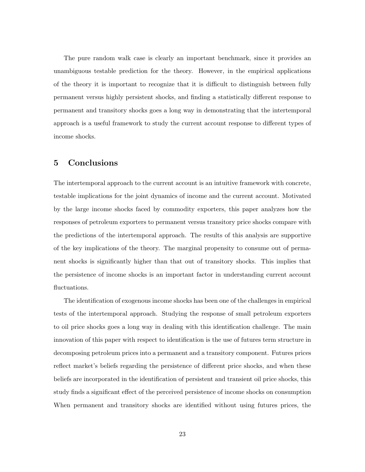The pure random walk case is clearly an important benchmark, since it provides an unambiguous testable prediction for the theory. However, in the empirical applications of the theory it is important to recognize that it is difficult to distinguish between fully permanent versus highly persistent shocks, and finding a statistically different response to permanent and transitory shocks goes a long way in demonstrating that the intertemporal approach is a useful framework to study the current account response to different types of income shocks.

#### 5 Conclusions

The intertemporal approach to the current account is an intuitive framework with concrete, testable implications for the joint dynamics of income and the current account. Motivated by the large income shocks faced by commodity exporters, this paper analyzes how the responses of petroleum exporters to permanent versus transitory price shocks compare with the predictions of the intertemporal approach. The results of this analysis are supportive of the key implications of the theory. The marginal propensity to consume out of permanent shocks is significantly higher than that out of transitory shocks. This implies that the persistence of income shocks is an important factor in understanding current account fluctuations.

The identification of exogenous income shocks has been one of the challenges in empirical tests of the intertemporal approach. Studying the response of small petroleum exporters to oil price shocks goes a long way in dealing with this identification challenge. The main innovation of this paper with respect to identification is the use of futures term structure in decomposing petroleum prices into a permanent and a transitory component. Futures prices reflect market's beliefs regarding the persistence of different price shocks, and when these beliefs are incorporated in the identification of persistent and transient oil price shocks, this study finds a significant effect of the perceived persistence of income shocks on consumption When permanent and transitory shocks are identified without using futures prices, the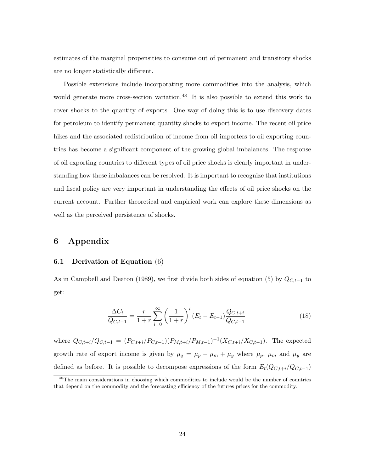estimates of the marginal propensities to consume out of permanent and transitory shocks are no longer statistically different.

Possible extensions include incorporating more commodities into the analysis, which would generate more cross-section variation.<sup>48</sup> It is also possible to extend this work to cover shocks to the quantity of exports. One way of doing this is to use discovery dates for petroleum to identify permanent quantity shocks to export income. The recent oil price hikes and the associated redistribution of income from oil importers to oil exporting countries has become a significant component of the growing global imbalances. The response of oil exporting countries to different types of oil price shocks is clearly important in understanding how these imbalances can be resolved. It is important to recognize that institutions and fiscal policy are very important in understanding the effects of oil price shocks on the current account. Further theoretical and empirical work can explore these dimensions as well as the perceived persistence of shocks.

#### 6 Appendix

#### 6.1 Derivation of Equation (6)

As in Campbell and Deaton (1989), we first divide both sides of equation (5) by  $Q_{C,t-1}$  to get:

$$
\frac{\Delta C_t}{Q_{C,t-1}} = \frac{r}{1+r} \sum_{i=0}^{\infty} \left(\frac{1}{1+r}\right)^i (E_t - E_{t-1}) \frac{Q_{C,t+i}}{Q_{C,t-1}}
$$
(18)

where  $Q_{C,t+i}/Q_{C,t-1} = (P_{C,t+i}/P_{C,t-1})(P_{M,t+i}/P_{M,t-1})^{-1}(X_{C,t+i}/X_{C,t-1})$ . The expected growth rate of export income is given by  $\mu_q = \mu_p - \mu_m + \mu_y$  where  $\mu_p$ ,  $\mu_m$  and  $\mu_y$  are defined as before. It is possible to decompose expressions of the form  $E_t(Q_{C,t+i}/Q_{C,t-1})$ 

<sup>&</sup>lt;sup>48</sup>The main considerations in choosing which commodities to include would be the number of countries that depend on the commodity and the forecasting efficiency of the futures prices for the commodity.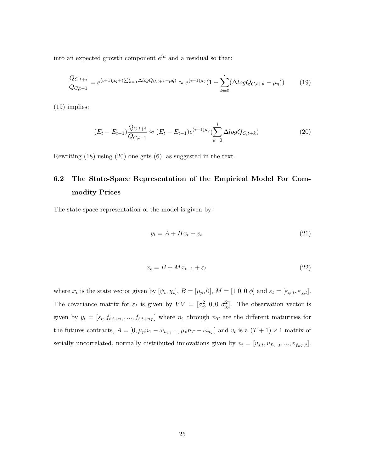into an expected growth component  $e^{i\mu}$  and a residual so that:

$$
\frac{Q_{C,t+i}}{Q_{C,t-1}} = e^{(i+1)\mu_q + (\sum_{k=0}^i \Delta log Q_{C,t+k} - \mu q)} \approx e^{(i+1)\mu_q} \left(1 + \sum_{k=0}^i (\Delta log Q_{C,t+k} - \mu_q)\right) \tag{19}
$$

(19) implies:

$$
(E_t - E_{t-1})\frac{Q_{C,t+i}}{Q_{C,t-1}} \approx (E_t - E_{t-1})e^{(i+1)\mu_q}(\sum_{k=0}^i \Delta log Q_{C,t+k})
$$
\n(20)

Rewriting (18) using (20) one gets (6), as suggested in the text.

## 6.2 The State-Space Representation of the Empirical Model For Commodity Prices

The state-space representation of the model is given by:

$$
y_t = A + Hx_t + v_t \tag{21}
$$

$$
x_t = B + Mx_{t-1} + \varepsilon_t \tag{22}
$$

where  $x_t$  is the state vector given by  $[\psi_t, \chi_t]$ ,  $B = [\mu_p, 0]$ ,  $M = [1 \ 0, 0 \ \phi]$  and  $\varepsilon_t = [\varepsilon_{\psi,t}, \varepsilon_{\chi,t}]$ . The covariance matrix for  $\varepsilon_t$  is given by  $VV = [\sigma_{\psi}^2 \; 0, 0 \; \sigma_{\chi}^2]$ . The observation vector is given by  $y_t = [s_t, f_{t,t+n_1},..., f_{t,t+n_T}]$  where  $n_1$  through  $n_T$  are the different maturities for the futures contracts,  $A = [0, \mu_p n_1 - \omega_{n_1}, ..., \mu_p n_T - \omega_{n_T}]$  and  $v_t$  is a  $(T + 1) \times 1$  matrix of serially uncorrelated, normally distributed innovations given by  $v_t = [v_{s,t}, v_{f_{n1},t}, ..., v_{f_nT,t}]$ .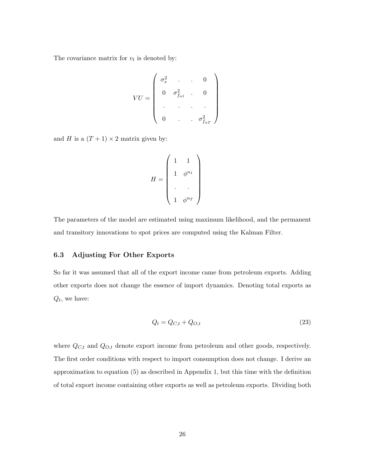The covariance matrix for  $v_t$  is denoted by:

$$
VU = \begin{pmatrix} \sigma_s^2 & \cdot & \cdot & 0 \\ 0 & \sigma_{f_{n1}}^2 & \cdot & 0 \\ \cdot & \cdot & \cdot & \cdot \\ 0 & \cdot & \cdot & \sigma_{f_{nT}}^2 \end{pmatrix}
$$

and H is a  $(T + 1) \times 2$  matrix given by:

$$
H = \begin{pmatrix} 1 & 1 \\ 1 & \phi^{n_1} \\ . & . \\ . & . \\ 1 & \phi^{n_T} \end{pmatrix}
$$

The parameters of the model are estimated using maximum likelihood, and the permanent and transitory innovations to spot prices are computed using the Kalman Filter.

#### 6.3 Adjusting For Other Exports

So far it was assumed that all of the export income came from petroleum exports. Adding other exports does not change the essence of import dynamics. Denoting total exports as  $Q_t$ , we have:

$$
Q_t = Q_{C,t} + Q_{O,t} \tag{23}
$$

where  $Q_{C,t}$  and  $Q_{O,t}$  denote export income from petroleum and other goods, respectively. The first order conditions with respect to import consumption does not change. I derive an approximation to equation (5) as described in Appendix 1, but this time with the definition of total export income containing other exports as well as petroleum exports. Dividing both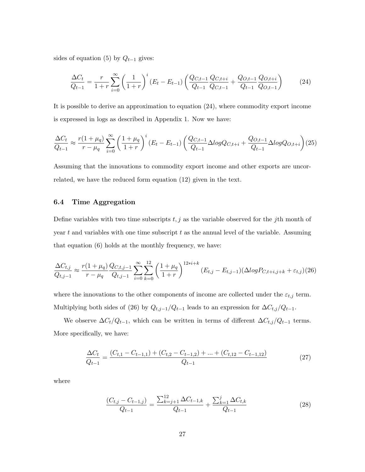sides of equation (5) by  $Q_{t-1}$  gives:

$$
\frac{\Delta C_t}{Q_{t-1}} = \frac{r}{1+r} \sum_{i=0}^{\infty} \left(\frac{1}{1+r}\right)^i (E_t - E_{t-1}) \left(\frac{Q_{C,t-1}}{Q_{t-1}} \frac{Q_{C,t+i}}{Q_{C,t-1}} + \frac{Q_{O,t-1}}{Q_{t-1}} \frac{Q_{O,t+i}}{Q_{O,t-1}}\right)
$$
(24)

It is possible to derive an approximation to equation (24), where commodity export income is expressed in logs as described in Appendix 1. Now we have:

$$
\frac{\Delta C_t}{Q_{t-1}} \approx \frac{r(1+\mu_q)}{r-\mu_q} \sum_{i=0}^{\infty} \left(\frac{1+\mu_q}{1+r}\right)^i (E_t - E_{t-1}) \left(\frac{Q_{C,t-1}}{Q_{t-1}} \Delta log Q_{C,t+i} + \frac{Q_{O,t-1}}{Q_{t-1}} \Delta log Q_{O,t+i}\right) (25)
$$

Assuming that the innovations to commodity export income and other exports are uncorrelated, we have the reduced form equation (12) given in the text.

#### 6.4 Time Aggregation

Define variables with two time subscripts  $t, j$  as the variable observed for the j<sup>th</sup> month of year  $t$  and variables with one time subscript  $t$  as the annual level of the variable. Assuming that equation (6) holds at the monthly frequency, we have:

$$
\frac{\Delta C_{t,j}}{Q_{t,j-1}} \approx \frac{r(1+\mu_q)}{r-\mu_q} \frac{Q_{C,t,j-1}}{Q_{t,j-1}} \sum_{i=0}^{\infty} \sum_{k=0}^{12} \left(\frac{1+\mu_q}{1+r}\right)^{12* i+k} (E_{t,j} - E_{t,j-1}) (\Delta log P_{C,t+i,j+k} + \varepsilon_{t,j}) (26)
$$

where the innovations to the other components of income are collected under the  $\varepsilon_{t,j}$  term. Multiplying both sides of (26) by  $Q_{t,j-1}/Q_{t-1}$  leads to an expression for  $\Delta C_{t,j}/Q_{t-1}$ .

We observe  $\Delta C_t/Q_{t-1}$ , which can be written in terms of different  $\Delta C_{t,j}/Q_{t-1}$  terms. More specifically, we have:

$$
\frac{\Delta C_t}{Q_{t-1}} = \frac{(C_{t,1} - C_{t-1,1}) + (C_{t,2} - C_{t-1,2}) + \dots + (C_{t,12} - C_{t-1,12})}{Q_{t-1}}
$$
(27)

where

$$
\frac{(C_{t,j} - C_{t-1,j})}{Q_{t-1}} = \frac{\sum_{k=j+1}^{12} \Delta C_{t-1,k}}{Q_{t-1}} + \frac{\sum_{k=1}^{j} \Delta C_{t,k}}{Q_{t-1}}
$$
(28)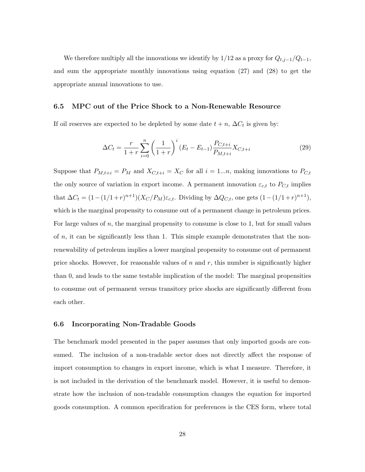We therefore multiply all the innovations we identify by 1/12 as a proxy for  $Q_{t,j-1}/Q_{t-1}$ , and sum the appropriate monthly innovations using equation (27) and (28) to get the appropriate annual innovations to use.

#### 6.5 MPC out of the Price Shock to a Non-Renewable Resource

If oil reserves are expected to be depleted by some date  $t + n$ ,  $\Delta C_t$  is given by:

$$
\Delta C_t = \frac{r}{1+r} \sum_{i=0}^{n} \left(\frac{1}{1+r}\right)^i (E_t - E_{t-1}) \frac{P_{C,t+i}}{P_{M,t+i}} X_{C,t+i}
$$
(29)

Suppose that  $P_{M,t+i} = P_M$  and  $X_{C,t+i} = X_C$  for all  $i = 1...n$ , making innovations to  $P_{C,t}$ the only source of variation in export income. A permanent innovation  $\varepsilon_{c,t}$  to  $P_{C,t}$  implies that  $\Delta C_t = (1 - (1/1+r)^{n+1})(X_C/P_M)\varepsilon_{c,t}$ . Dividing by  $\Delta Q_{C,t}$ , one gets  $(1 - (1/1+r)^{n+1})$ , which is the marginal propensity to consume out of a permanent change in petroleum prices. For large values of  $n$ , the marginal propensity to consume is close to 1, but for small values of  $n$ , it can be significantly less than 1. This simple example demonstrates that the nonrenewability of petroleum implies a lower marginal propensity to consume out of permanent price shocks. However, for reasonable values of  $n$  and  $r$ , this number is significantly higher than 0, and leads to the same testable implication of the model: The marginal propensities to consume out of permanent versus transitory price shocks are significantly different from each other.

#### 6.6 Incorporating Non-Tradable Goods

The benchmark model presented in the paper assumes that only imported goods are consumed. The inclusion of a non-tradable sector does not directly affect the response of import consumption to changes in export income, which is what I measure. Therefore, it is not included in the derivation of the benchmark model. However, it is useful to demonstrate how the inclusion of non-tradable consumption changes the equation for imported goods consumption. A common specification for preferences is the CES form, where total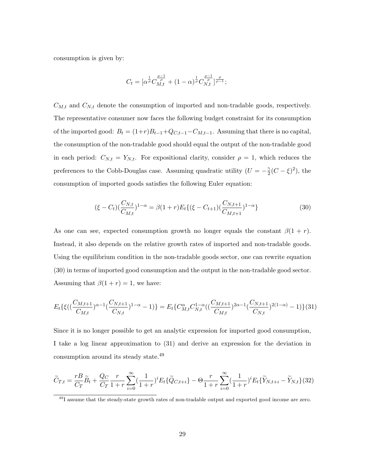consumption is given by:

$$
C_t = [\alpha^{\frac{1}{\rho}} C_{M,t}^{\frac{\rho-1}{\rho}} + (1-\alpha)^{\frac{1}{\rho}} C_{N,t}^{\frac{\rho-1}{\rho}}]^{\frac{\rho}{\rho-1}};
$$

 $C_{M,t}$  and  $C_{N,t}$  denote the consumption of imported and non-tradable goods, respectively. The representative consumer now faces the following budget constraint for its consumption of the imported good:  $B_t = (1+r)B_{t-1}+Q_{C,t-1}-C_{M,t-1}$ . Assuming that there is no capital, the consumption of the non-tradable good should equal the output of the non-tradable good in each period:  $C_{N,t} = Y_{N,t}$ . For expositional clarity, consider  $\rho = 1$ , which reduces the preferences to the Cobb-Douglas case. Assuming quadratic utility  $(U = -\frac{\gamma}{2})$  $\frac{\gamma}{2}(C-\xi)^2$ ), the consumption of imported goods satisfies the following Euler equation:

$$
(\xi - C_t) \left(\frac{C_{N,t}}{C_{M,t}}\right)^{1-\alpha} = \beta (1+r) E_t \{ (\xi - C_{t+1}) \left(\frac{C_{N,t+1}}{C_{M,t+1}}\right)^{1-\alpha} \}
$$
(30)

As one can see, expected consumption growth no longer equals the constant  $\beta(1 + r)$ . Instead, it also depends on the relative growth rates of imported and non-tradable goods. Using the equilibrium condition in the non-tradable goods sector, one can rewrite equation (30) in terms of imported good consumption and the output in the non-tradable good sector. Assuming that  $\beta(1 + r) = 1$ , we have:

$$
E_t\{\xi((\frac{C_{M,t+1}}{C_{M,t}})^{\alpha-1}(\frac{C_{N,t+1}}{C_{N,t}})^{1-\alpha}-1)\}=E_t\{C_{M,t}^{\alpha}C_{N,t}^{1-\alpha}((\frac{C_{M,t+1}}{C_{M,t}})^{2\alpha-1}(\frac{C_{N,t+1}}{C_{N,t}})^{2(1-\alpha)}-1)\}(31)
$$

Since it is no longer possible to get an analytic expression for imported good consumption, I take a log linear approximation to (31) and derive an expression for the deviation in consumption around its steady state.<sup>49</sup>

$$
\widetilde{C}_{T,t} = \frac{rB}{C_T}\widetilde{B}_t + \frac{Q_C}{C_T}\frac{r}{1+r}\sum_{i=0}^{\infty}(\frac{1}{1+r})^i E_t\{\widetilde{Q}_{C,t+i}\} - \Theta\frac{r}{1+r}\sum_{i=0}^{\infty}(\frac{1}{1+r})^i E_t\{\widetilde{Y}_{N,t+i} - \widetilde{Y}_{N,t}\}(32)
$$

<sup>&</sup>lt;sup>49</sup>I assume that the steady-state growth rates of non-tradable output and exported good income are zero.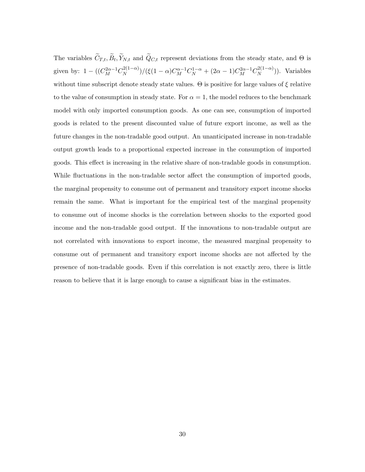The variables  $C_{T,t}, B_t, Y_{N,t}$  and  $Q_{C,t}$  represent deviations from the steady state, and  $\Theta$  is given by:  $1 - ((C_M^{2\alpha - 1} C_N^{2(1-\alpha)})$  $\frac{1}{2(1-\alpha)}$ )/(ξ(1 – α) $C_M^{\alpha-1}C_N^{1-\alpha}$  + (2α – 1) $C_M^{2\alpha-1}C_N^{2(1-\alpha)}$  $\binom{2(1-\alpha)}{N}$ . Variables without time subscript denote steady state values.  $\Theta$  is positive for large values of  $\xi$  relative to the value of consumption in steady state. For  $\alpha = 1$ , the model reduces to the benchmark model with only imported consumption goods. As one can see, consumption of imported goods is related to the present discounted value of future export income, as well as the future changes in the non-tradable good output. An unanticipated increase in non-tradable output growth leads to a proportional expected increase in the consumption of imported goods. This effect is increasing in the relative share of non-tradable goods in consumption. While fluctuations in the non-tradable sector affect the consumption of imported goods, the marginal propensity to consume out of permanent and transitory export income shocks remain the same. What is important for the empirical test of the marginal propensity to consume out of income shocks is the correlation between shocks to the exported good income and the non-tradable good output. If the innovations to non-tradable output are not correlated with innovations to export income, the measured marginal propensity to consume out of permanent and transitory export income shocks are not affected by the presence of non-tradable goods. Even if this correlation is not exactly zero, there is little reason to believe that it is large enough to cause a significant bias in the estimates.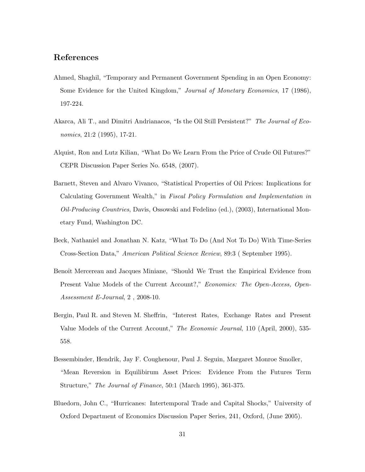## References

- Ahmed, Shaghil, "Temporary and Permanent Government Spending in an Open Economy: Some Evidence for the United Kingdom," Journal of Monetary Economics, 17 (1986), 197-224.
- Akarca, Ali T., and Dimitri Andrianacos, "Is the Oil Still Persistent?" The Journal of Economics, 21:2 (1995), 17-21.
- Alquist, Ron and Lutz Kilian, "What Do We Learn From the Price of Crude Oil Futures?" CEPR Discussion Paper Series No. 6548, (2007).
- Barnett, Steven and Alvaro Vivanco, "Statistical Properties of Oil Prices: Implications for Calculating Government Wealth," in Fiscal Policy Formulation and Implementation in Oil-Producing Countries, Davis, Ossowski and Fedelino (ed.), (2003), International Monetary Fund, Washington DC.
- Beck, Nathaniel and Jonathan N. Katz, "What To Do (And Not To Do) With Time-Series Cross-Section Data," American Political Science Review, 89:3 ( September 1995).
- Benoît Mercereau and Jacques Miniane, "Should We Trust the Empirical Evidence from Present Value Models of the Current Account?," Economics: The Open-Access, Open-Assessment E-Journal, 2 , 2008-10.
- Bergin, Paul R. and Steven M. Sheffrin, "Interest Rates, Exchange Rates and Present Value Models of the Current Account," The Economic Journal, 110 (April, 2000), 535- 558.
- Bessembinder, Hendrik, Jay F. Coughenour, Paul J. Seguin, Margaret Monroe Smoller, "Mean Reversion in Equilibirum Asset Prices: Evidence From the Futures Term Structure," The Journal of Finance, 50:1 (March 1995), 361-375.
- Bluedorn, John C., "Hurricanes: Intertemporal Trade and Capital Shocks," University of Oxford Department of Economics Discussion Paper Series, 241, Oxford, (June 2005).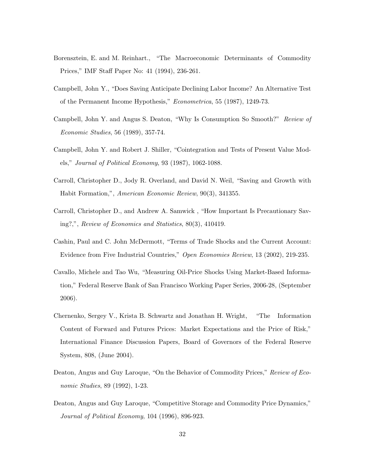- Borensztein, E. and M. Reinhart., "The Macroeconomic Determinants of Commodity Prices," IMF Staff Paper No: 41 (1994), 236-261.
- Campbell, John Y., "Does Saving Anticipate Declining Labor Income? An Alternative Test of the Permanent Income Hypothesis," Econometrica, 55 (1987), 1249-73.
- Campbell, John Y. and Angus S. Deaton, "Why Is Consumption So Smooth?" Review of Economic Studies, 56 (1989), 357-74.
- Campbell, John Y. and Robert J. Shiller, "Cointegration and Tests of Present Value Models," Journal of Political Economy, 93 (1987), 1062-1088.
- Carroll, Christopher D., Jody R. Overland, and David N. Weil, "Saving and Growth with Habit Formation,", American Economic Review, 90(3), 341355.
- Carroll, Christopher D., and Andrew A. Samwick , "How Important Is Precautionary Saving?,", Review of Economics and Statistics, 80(3), 410419.
- Cashin, Paul and C. John McDermott, "Terms of Trade Shocks and the Current Account: Evidence from Five Industrial Countries," Open Economies Review, 13 (2002), 219-235.
- Cavallo, Michele and Tao Wu, "Measuring Oil-Price Shocks Using Market-Based Information," Federal Reserve Bank of San Francisco Working Paper Series, 2006-28, (September 2006).
- Chernenko, Sergey V., Krista B. Schwartz and Jonathan H. Wright, "The Information Content of Forward and Futures Prices: Market Expectations and the Price of Risk," International Finance Discussion Papers, Board of Governors of the Federal Reserve System, 808, (June 2004).
- Deaton, Angus and Guy Laroque, "On the Behavior of Commodity Prices," Review of Economic Studies, 89 (1992), 1-23.
- Deaton, Angus and Guy Laroque, "Competitive Storage and Commodity Price Dynamics," Journal of Political Economy, 104 (1996), 896-923.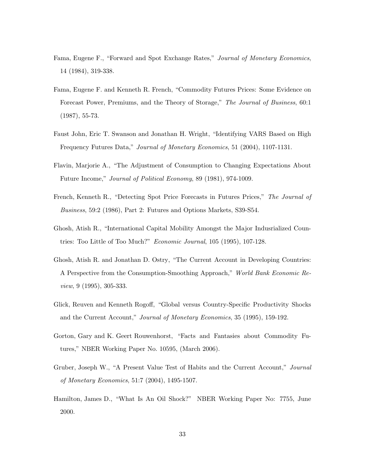- Fama, Eugene F., "Forward and Spot Exchange Rates," Journal of Monetary Economics, 14 (1984), 319-338.
- Fama, Eugene F. and Kenneth R. French, "Commodity Futures Prices: Some Evidence on Forecast Power, Premiums, and the Theory of Storage," The Journal of Business, 60:1 (1987), 55-73.
- Faust John, Eric T. Swanson and Jonathan H. Wright, "Identifying VARS Based on High Frequency Futures Data," Journal of Monetary Economics, 51 (2004), 1107-1131.
- Flavin, Marjorie A., "The Adjustment of Consumption to Changing Expectations About Future Income," Journal of Political Economy, 89 (1981), 974-1009.
- French, Kenneth R., "Detecting Spot Price Forecasts in Futures Prices," The Journal of Business, 59:2 (1986), Part 2: Futures and Options Markets, S39-S54.
- Ghosh, Atish R., "International Capital Mobility Amongst the Major Indusrialized Countries: Too Little of Too Much?" Economic Journal, 105 (1995), 107-128.
- Ghosh, Atish R. and Jonathan D. Ostry, "The Current Account in Developing Countries: A Perspective from the Consumption-Smoothing Approach," World Bank Economic Review, 9 (1995), 305-333.
- Glick, Reuven and Kenneth Rogoff, "Global versus Country-Specific Productivity Shocks and the Current Account," Journal of Monetary Economics, 35 (1995), 159-192.
- Gorton, Gary and K. Geert Rouwenhorst, "Facts and Fantasies about Commodity Futures," NBER Working Paper No. 10595, (March 2006).
- Gruber, Joseph W., "A Present Value Test of Habits and the Current Account," Journal of Monetary Economics, 51:7 (2004), 1495-1507.
- Hamilton, James D., "What Is An Oil Shock?" NBER Working Paper No: 7755, June 2000.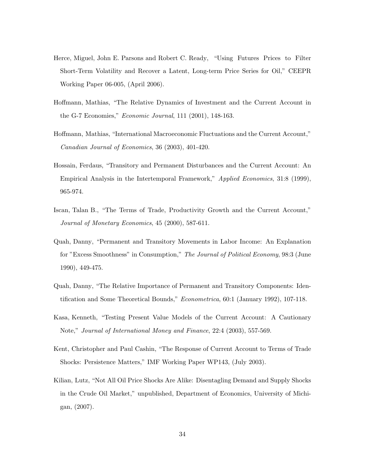- Herce, Miguel, John E. Parsons and Robert C. Ready, "Using Futures Prices to Filter Short-Term Volatility and Recover a Latent, Long-term Price Series for Oil," CEEPR Working Paper 06-005, (April 2006).
- Hoffmann, Mathias, "The Relative Dynamics of Investment and the Current Account in the G-7 Economies," Economic Journal, 111 (2001), 148-163.
- Hoffmann, Mathias, "International Macroeconomic Fluctuations and the Current Account," Canadian Journal of Economics, 36 (2003), 401-420.
- Hossain, Ferdaus, "Transitory and Permanent Disturbances and the Current Account: An Empirical Analysis in the Intertemporal Framework," Applied Economics, 31:8 (1999), 965-974.
- Iscan, Talan B., "The Terms of Trade, Productivity Growth and the Current Account," Journal of Monetary Economics, 45 (2000), 587-611.
- Quah, Danny, "Permanent and Transitory Movements in Labor Income: An Explanation for "Excess Smoothness" in Consumption," The Journal of Political Economy, 98:3 (June 1990), 449-475.
- Quah, Danny, "The Relative Importance of Permanent and Transitory Components: Identification and Some Theoretical Bounds," Econometrica, 60:1 (January 1992), 107-118.
- Kasa, Kenneth, "Testing Present Value Models of the Current Account: A Cautionary Note," Journal of International Money and Finance, 22:4 (2003), 557-569.
- Kent, Christopher and Paul Cashin, "The Response of Current Account to Terms of Trade Shocks: Persistence Matters," IMF Working Paper WP143, (July 2003).
- Kilian, Lutz, "Not All Oil Price Shocks Are Alike: Disentagling Demand and Supply Shocks in the Crude Oil Market," unpublished, Department of Economics, University of Michigan, (2007).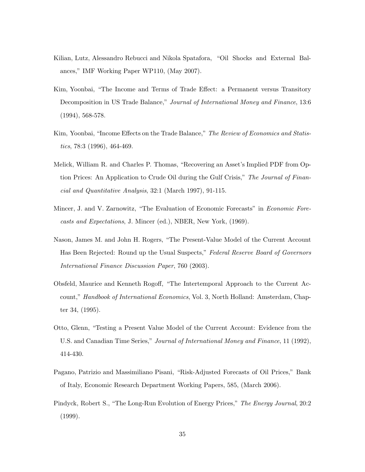- Kilian, Lutz, Alessandro Rebucci and Nikola Spatafora, "Oil Shocks and External Balances," IMF Working Paper WP110, (May 2007).
- Kim, Yoonbai, "The Income and Terms of Trade Effect: a Permanent versus Transitory Decomposition in US Trade Balance," Journal of International Money and Finance, 13:6 (1994), 568-578.
- Kim, Yoonbai, "Income Effects on the Trade Balance," The Review of Economics and Statistics, 78:3 (1996), 464-469.
- Melick, William R. and Charles P. Thomas, "Recovering an Asset's Implied PDF from Option Prices: An Application to Crude Oil during the Gulf Crisis," The Journal of Financial and Quantitative Analysis, 32:1 (March 1997), 91-115.
- Mincer, J. and V. Zarnowitz, "The Evaluation of Economic Forecasts" in Economic Forecasts and Expectations, J. Mincer (ed.), NBER, New York, (1969).
- Nason, James M. and John H. Rogers, "The Present-Value Model of the Current Account Has Been Rejected: Round up the Usual Suspects," Federal Reserve Board of Governors International Finance Discussion Paper, 760 (2003).
- Obsfeld, Maurice and Kenneth Rogoff, "The Intertemporal Approach to the Current Account," Handbook of International Economics, Vol. 3, North Holland: Amsterdam, Chapter 34, (1995).
- Otto, Glenn, "Testing a Present Value Model of the Current Account: Evidence from the U.S. and Canadian Time Series," Journal of International Money and Finance, 11 (1992), 414-430.
- Pagano, Patrizio and Massimiliano Pisani, "Risk-Adjusted Forecasts of Oil Prices," Bank of Italy, Economic Research Department Working Papers, 585, (March 2006).
- Pindyck, Robert S., "The Long-Run Evolution of Energy Prices," The Energy Journal, 20:2 (1999).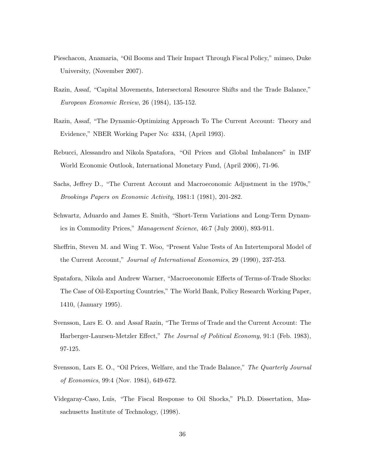- Pieschacon, Anamaria, "Oil Booms and Their Impact Through Fiscal Policy," mimeo, Duke University, (November 2007).
- Razin, Assaf, "Capital Movements, Intersectoral Resource Shifts and the Trade Balance," European Economic Review, 26 (1984), 135-152.
- Razin, Assaf, "The Dynamic-Optimizing Approach To The Current Account: Theory and Evidence," NBER Working Paper No: 4334, (April 1993).
- Rebucci, Alessandro and Nikola Spatafora, "Oil Prices and Global Imbalances" in IMF World Economic Outlook, International Monetary Fund, (April 2006), 71-96.
- Sachs, Jeffrey D., "The Current Account and Macroeconomic Adjustment in the 1970s," Brookings Papers on Economic Activity, 1981:1 (1981), 201-282.
- Schwartz, Aduardo and James E. Smith, "Short-Term Variations and Long-Term Dynamics in Commodity Prices," Management Science, 46:7 (July 2000), 893-911.
- Sheffrin, Steven M. and Wing T. Woo, "Present Value Tests of An Intertemporal Model of the Current Account," Journal of International Economics, 29 (1990), 237-253.
- Spatafora, Nikola and Andrew Warner, "Macroeconomic Effects of Terms-of-Trade Shocks: The Case of Oil-Exporting Countries," The World Bank, Policy Research Working Paper, 1410, (January 1995).
- Svensson, Lars E. O. and Assaf Razin, "The Terms of Trade and the Current Account: The Harberger-Laursen-Metzler Effect," The Journal of Political Economy, 91:1 (Feb. 1983), 97-125.
- Svensson, Lars E. O., "Oil Prices, Welfare, and the Trade Balance," The Quarterly Journal of Economics, 99:4 (Nov. 1984), 649-672.
- Videgaray-Caso, Luis, "The Fiscal Response to Oil Shocks," Ph.D. Dissertation, Massachusetts Institute of Technology, (1998).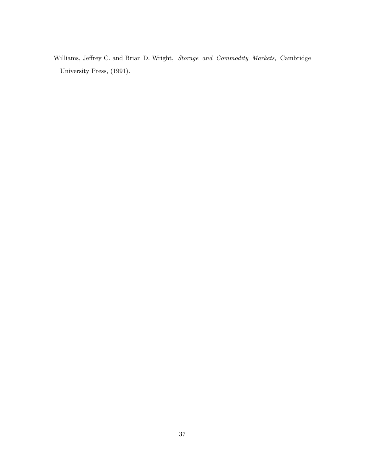Williams, Jeffrey C. and Brian D. Wright, Storage and Commodity Markets, Cambridge University Press, (1991).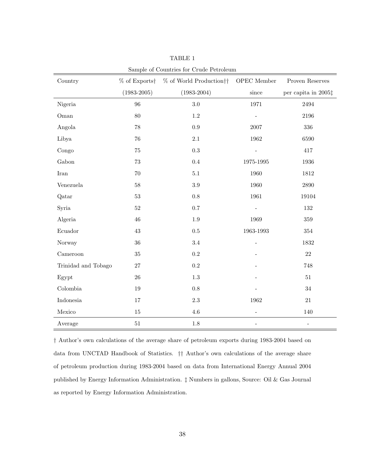|                       |                 | $\alpha$ countries for $\alpha$ and $\alpha$ choicement |                          |                              |
|-----------------------|-----------------|---------------------------------------------------------|--------------------------|------------------------------|
| Country               |                 | % of Exports + % of World Production + + OPEC Member    |                          | Proven Reserves              |
|                       | $(1983 - 2005)$ | $(1983 - 2004)$                                         | $\rm since$              | per capita in 2005‡          |
| Nigeria               | $96\,$          | $3.0\,$                                                 | 1971                     | 2494                         |
| Oman                  | 80              | $1.2\,$                                                 |                          | 2196                         |
| Angola                | $78\,$          | $0.9\,$                                                 | 2007                     | 336                          |
| Libya                 | 76              | $2.1\,$                                                 | 1962                     | 6590                         |
| Congo                 | 75              | $\rm 0.3$                                               |                          | 417                          |
| Gabon                 | 73              | 0.4                                                     | 1975-1995                | 1936                         |
| $\operatorname{Iran}$ | $70\,$          | $5.1\,$                                                 | 1960                     | 1812                         |
| Venezuela             | 58              | $3.9\,$                                                 | 1960                     | 2890                         |
| Qatar                 | $53\,$          | $0.8\,$                                                 | 1961                     | 19104                        |
| Syria                 | $52\,$          | 0.7                                                     | $\frac{1}{2}$            | $132\,$                      |
| Algeria               | 46              | $1.9\,$                                                 | 1969                     | $359\,$                      |
| Ecuador               | $43\,$          | $0.5\,$                                                 | 1963-1993                | $354\,$                      |
| Norway                | $36\,$          | $3.4\,$                                                 | $\overline{a}$           | 1832                         |
| Cameroon              | 35              | 0.2                                                     |                          | 22                           |
| Trinidad and Tobago   | 27              | $\rm 0.2$                                               |                          | 748                          |
| Egypt                 | $26\,$          | $1.3\,$                                                 |                          | $51\,$                       |
| Colombia              | $19\,$          | $0.8\,$                                                 |                          | $34\,$                       |
| Indonesia             | 17              | $2.3\,$                                                 | 1962                     | 21                           |
| Mexico                | 15              | $4.6\,$                                                 | $\overline{\phantom{m}}$ | 140                          |
| Average               | $51\,$          | $1.8\,$                                                 | $\qquad \qquad -$        | $\qquad \qquad \blacksquare$ |

TABLE 1

Sample of Countries for Crude Petroleum

† Author's own calculations of the average share of petroleum exports during 1983-2004 based on data from UNCTAD Handbook of Statistics. †† Author's own calculations of the average share of petroleum production during 1983-2004 based on data from International Energy Annual 2004 published by Energy Information Administration. ‡ Numbers in gallons, Source: Oil & Gas Journal as reported by Energy Information Administration.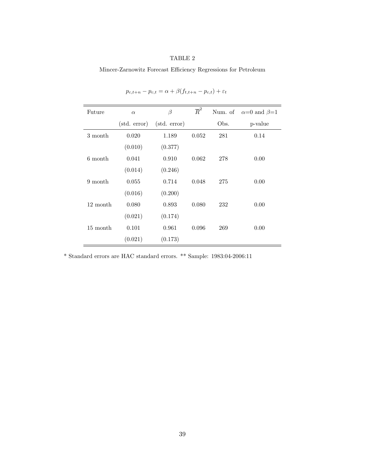Mincer-Zarnowitz Forecast Efficiency Regressions for Petroleum

| Future   | $\alpha$     | $\beta$               | $\overline{R}^2$ |      | Num. of $\alpha=0$ and $\beta=1$ |
|----------|--------------|-----------------------|------------------|------|----------------------------------|
|          | (std. error) | $(\text{std. error})$ |                  | Obs. | p-value                          |
| 3 month  | 0.020        | 1.189                 | 0.052            | 281  | 0.14                             |
|          | (0.010)      | (0.377)               |                  |      |                                  |
| 6 month  | 0.041        | 0.910                 | 0.062            | 278  | 0.00                             |
|          | (0.014)      | (0.246)               |                  |      |                                  |
| 9 month  | 0.055        | 0.714                 | 0.048            | 275  | 0.00                             |
|          | (0.016)      | (0.200)               |                  |      |                                  |
| 12 month | 0.080        | 0.893                 | 0.080            | 232  | 0.00                             |
|          | (0.021)      | (0.174)               |                  |      |                                  |
| 15 month | 0.101        | 0.961                 | 0.096            | 269  | 0.00                             |
|          | (0.021)      | (0.173)               |                  |      |                                  |

 $p_{c,t+n} - p_{c,t} = \alpha + \beta(f_{t,t+n} - p_{c,t}) + \varepsilon_t$ 

 $^\ast$  Standard errors are HAC standard errors.  $^{\ast\ast}$  Sample: 1983:04-2006:11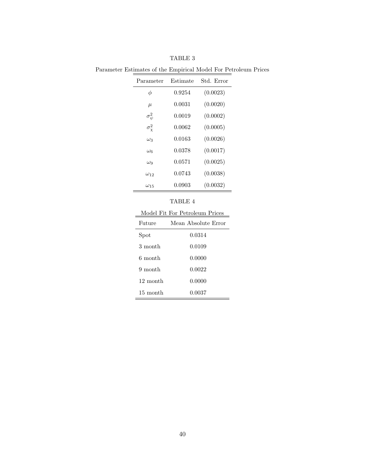| Parameter         | Estimate | Std. Error |
|-------------------|----------|------------|
| φ                 | 0.9254   | (0.0023)   |
| $\mu$             | 0.0031   | (0.0020)   |
| $\sigma_{\psi}^2$ | 0.0019   | (0.0002)   |
| $\sigma_{\chi}^2$ | 0.0062   | (0.0005)   |
| $\omega_3$        | 0.0163   | (0.0026)   |
| $\omega_6$        | 0.0378   | (0.0017)   |
| $\omega_9$        | 0.0571   | (0.0025)   |
| $\omega_{12}$     | 0.0743   | (0.0038)   |
| $\omega_{15}$     | 0.0903   | (0.0032)   |

TABLE 3

Parameter Estimates of the Empirical Model For Petroleum Prices

| Model Fit For Petroleum Prices |                     |  |  |  |
|--------------------------------|---------------------|--|--|--|
| Future                         | Mean Absolute Error |  |  |  |
| S <sub>pot</sub>               | 0.0314              |  |  |  |
| 3 month                        | 0.0109              |  |  |  |
| 6 month                        | 0.0000              |  |  |  |
| 9 month                        | 0.0022              |  |  |  |
| 12 month                       | 0.0000              |  |  |  |
| 15 month                       | 0.0037              |  |  |  |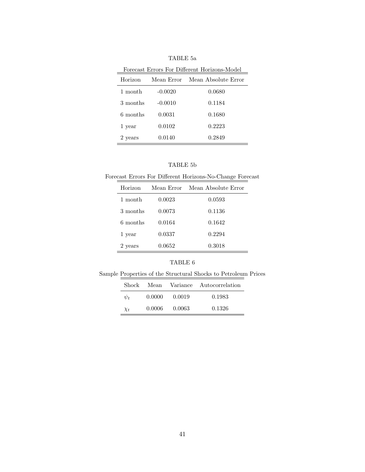| Forecast Errors For Different Horizons-Model |            |                     |  |  |  |
|----------------------------------------------|------------|---------------------|--|--|--|
| Horizon                                      | Mean Error | Mean Absolute Error |  |  |  |
| 1 month                                      | $-0.0020$  | 0.0680              |  |  |  |
| 3 months                                     | $-0.0010$  | 0.1184              |  |  |  |
| 6 months                                     | 0.0031     | 0.1680              |  |  |  |
| 1 year                                       | 0.0102     | 0.2223              |  |  |  |
| 2 years                                      | 0.0140     | 0.2849              |  |  |  |

TABLE 5a

| TABLE 5b |  |
|----------|--|
|----------|--|

Forecast Errors For Different Horizons-No-Change Forecast

| Horizon  | Mean Error | Mean Absolute Error |
|----------|------------|---------------------|
| 1 month  | 0.0023     | 0.0593              |
| 3 months | 0.0073     | 0.1136              |
| 6 months | 0.0164     | 0.1642              |
| 1 year   | 0.0337     | 0.2294              |
| 2 years  | 0.0652     | 0.3018              |

Sample Properties of the Structural Shocks to Petroleum Prices

|          |        |          | Shock Mean Variance Autocorrelation |
|----------|--------|----------|-------------------------------------|
| $\psi_t$ | 0.0000 | 0.0019   | 0.1983                              |
| $\chi_t$ | 0.0006 | - 0.0063 | 0.1326                              |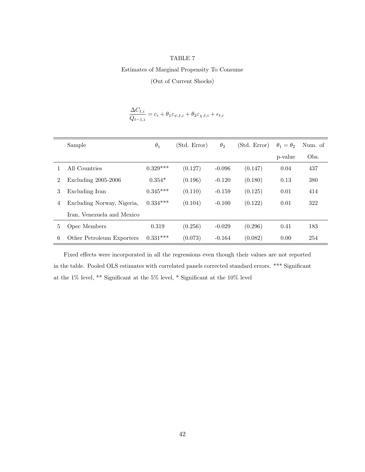Estimates of Marginal Propensity To Consume

(Out of Current Shocks)

$$
\frac{\Delta C_{t,i}}{Q_{t-1,i}} = c_i + \theta_1 \varepsilon_{\psi,t,i} + \theta_2 \varepsilon_{\chi,t,i} + \epsilon_{t,i}
$$

|   | Sample                     | $\theta_1$ | (Std. Error) | $\theta_2$ | (Std. Error) | $\theta_1=\theta_2$ | Num. of |
|---|----------------------------|------------|--------------|------------|--------------|---------------------|---------|
|   |                            |            |              |            |              | p-value             | Obs.    |
|   | All Countries              | $0.329***$ | (0.127)      | $-0.096$   | (0.147)      | 0.04                | 437     |
| 2 | Excluding $2005-2006$      | $0.354*$   | (0.196)      | $-0.120$   | (0.180)      | 0.13                | 380     |
| 3 | Excluding Iran             | $0.345***$ | (0.110)      | $-0.159$   | (0.125)      | 0.01                | 414     |
| 4 | Excluding Norway, Nigeria, | $0.334***$ | (0.104)      | $-0.100$   | (0.122)      | 0.01                | 322     |
|   | Iran, Venezuela and Mexico |            |              |            |              |                     |         |
| 5 | Opec Members               | 0.319      | (0.256)      | $-0.029$   | (0.296)      | 0.41                | 183     |
| 6 | Other Petroleum Exporters  | $0.331***$ | (0.073)      | $-0.164$   | (0.082)      | 0.00                | 254     |

Fixed effects were incorporated in all the regressions even though their values are not reported in the table. Pooled OLS estimates with correlated panels corrected standard errors. \*\*\* Significant at the 1% level, \*\* Significant at the 5% level, \* Significant at the 10% level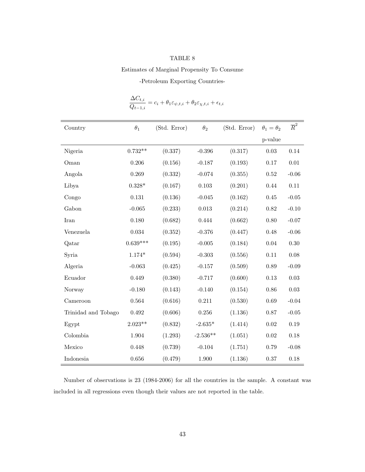#### Estimates of Marginal Propensity To Consume

-Petroleum Exporting Countries-

| Country             | $\theta_1$     | (Std. Error) | $\theta_2$  | (Std. Error) | $\theta_1 = \theta_2$ | $\overline{R}^2$ |
|---------------------|----------------|--------------|-------------|--------------|-----------------------|------------------|
|                     |                |              |             |              | p-value               |                  |
| Nigeria             | $0.732**$      | (0.337)      | $-0.396$    | (0.317)      | $0.03\,$              | $0.14\,$         |
| Oman                | 0.206          | (0.156)      | $-0.187$    | (0.193)      | 0.17                  | 0.01             |
| Angola              | 0.269          | (0.332)      | $-0.074$    | (0.355)      | $\,0.52$              | $-0.06$          |
| Libya               | $0.328^{\ast}$ | (0.167)      | $0.103\,$   | (0.201)      | 0.44                  | $0.11\,$         |
| Congo               | $0.131\,$      | (0.136)      | $-0.045$    | (0.162)      | 0.45                  | $-0.05$          |
| Gabon               | $-0.065$       | (0.233)      | $\,0.013\,$ | (0.214)      | $0.82\,$              | $-0.10$          |
| <b>Iran</b>         | 0.180          | (0.682)      | 0.444       | (0.662)      | 0.80                  | $-0.07$          |
| Venezuela           | $\,0.034\,$    | (0.352)      | $-0.376$    | (0.447)      | 0.48                  | $-0.06$          |
| Qatar               | $0.639***$     | (0.195)      | $-0.005$    | (0.184)      | 0.04                  | $0.30\,$         |
| Syria               | $1.174*$       | (0.594)      | $-0.303$    | (0.556)      | $0.11\,$              | 0.08             |
| Algeria             | $-0.063$       | (0.425)      | $-0.157$    | (0.509)      | 0.89                  | $-0.09$          |
| Ecuador             | 0.449          | (0.380)      | $-0.717$    | (0.600)      | 0.13                  | 0.03             |
| Norway              | $-0.180$       | (0.143)      | $-0.140$    | (0.154)      | 0.86                  | 0.03             |
| Cameroon            | 0.564          | (0.616)      | 0.211       | (0.530)      | $0.69\,$              | $-0.04$          |
| Trinidad and Tobago | $\,0.492\,$    | (0.606)      | $0.256\,$   | (1.136)      | 0.87                  | $\mbox{-}0.05$   |
| Egypt               | $2.023**$      | (0.832)      | $-2.635*$   | (1.414)      | $0.02\,$              | 0.19             |
| Colombia            | 1.904          | (1.293)      | $-2.536**$  | (1.051)      | $\rm 0.02$            | 0.18             |
| Mexico              | 0.448          | (0.739)      | $-0.104$    | (1.751)      | 0.79                  | $-0.08$          |
| Indonesia           | 0.656          | (0.479)      | 1.900       | (1.136)      | 0.37                  | 0.18             |

$$
\frac{\Delta C_{t,i}}{Q_{t-1,i}} = c_i + \theta_1 \varepsilon_{\psi,t,i} + \theta_2 \varepsilon_{\chi,t,i} + \epsilon_{t,i}
$$

Number of observations is 23 (1984-2006) for all the countries in the sample. A constant was included in all regressions even though their values are not reported in the table.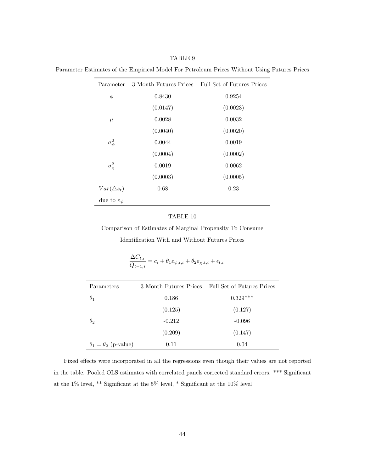Parameter Estimates of the Empirical Model For Petroleum Prices Without Using Futures Prices

| Parameter                   | 3 Month Futures Prices | Full Set of Futures Prices |
|-----------------------------|------------------------|----------------------------|
| $\phi$                      | 0.8430                 | 0.9254                     |
|                             | (0.0147)               | (0.0023)                   |
| $\mu$                       | 0.0028                 | 0.0032                     |
|                             | (0.0040)               | (0.0020)                   |
| $\sigma_{\psi}^2$           | 0.0044                 | 0.0019                     |
|                             | (0.0004)               | (0.0002)                   |
| $\sigma_{\chi}^2$           | 0.0019                 | 0.0062                     |
|                             | (0.0003)               | (0.0005)                   |
| $Var(\triangle s_t)$        | 0.68                   | 0.23                       |
| due to $\varepsilon_{\psi}$ |                        |                            |

#### TABLE 10

Comparison of Estimates of Marginal Propensity To Consume Identification With and Without Futures Prices

|                                 | $\mathcal{L}t-1,i$     |                            |
|---------------------------------|------------------------|----------------------------|
| Parameters                      | 3 Month Futures Prices | Full Set of Futures Prices |
| $\theta_1$                      | 0.186                  | $0.329***$                 |
|                                 | (0.125)                | (0.127)                    |
| $\theta_2$                      | $-0.212$               | $-0.096$                   |
|                                 | (0.209)                | (0.147)                    |
| $\theta_1 = \theta_2$ (p-value) | 0.11                   | 0.04                       |

$$
\frac{\Delta C_{t,i}}{Q_{t-1,i}} = c_i + \theta_1 \varepsilon_{\psi,t,i} + \theta_2 \varepsilon_{\chi,t,i} + \epsilon_{t,i}
$$

Fixed effects were incorporated in all the regressions even though their values are not reported in the table. Pooled OLS estimates with correlated panels corrected standard errors. \*\*\* Significant at the 1% level, \*\* Significant at the 5% level, \* Significant at the 10% level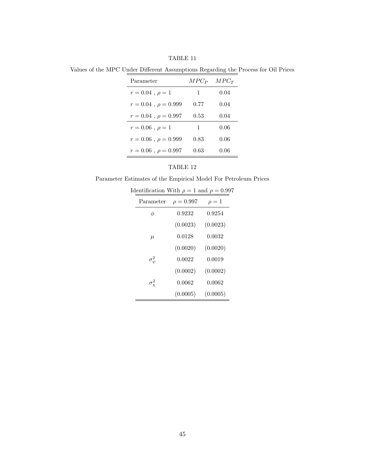TABLE 11

Values of the MPC Under Different Assumptions Regarding the Process for Oil Prices

| Parameter                   | $MPC_P$ | $MPC_T$ |
|-----------------------------|---------|---------|
| $r = 0.04$ , $\rho = 1$     | 1       | 0.04    |
| $r = 0.04$ , $\rho = 0.999$ | 0.77    | 0.04    |
| $r = 0.04$ , $\rho = 0.997$ | 0.53    | 0.04    |
| $r = 0.06$ , $\rho = 1$     | 1       | 0.06    |
| $r = 0.06$ , $\rho = 0.999$ | 0.83    | 0.06    |
| $r = 0.06$ , $\rho = 0.997$ | 0.63    | 0.06    |

Parameter Estimates of the Empirical Model For Petroleum Prices

| $\alpha$ chthication with $\rho = 1$ and $\rho = 0.55$ |                |          |
|--------------------------------------------------------|----------------|----------|
| Parameter                                              | $\rho = 0.997$ | $\rho=1$ |
| φ                                                      | 0.9232         | 0.9254   |
|                                                        | (0.0023)       | (0.0023) |
| $\mu$                                                  | 0.0128         | 0.0032   |
|                                                        | (0.0020)       | (0.0020) |
| $\sigma_{\psi}^2$                                      | 0.0022         | 0.0019   |
|                                                        | (0.0002)       | (0.0002) |
| $\sigma_{\mathrm{v}}^2$                                | 0.0062         | 0.0062   |
|                                                        | (0.0005)       | (0.0005) |
|                                                        |                |          |

Identification With  $\rho = 1$  and  $\rho = 0.997$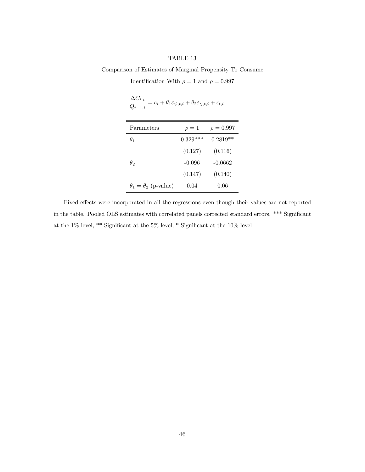Comparison of Estimates of Marginal Propensity To Consume

Identification With  $\rho = 1$  and  $\rho = 0.997$ 

$$
\frac{\Delta C_{t,i}}{Q_{t-1,i}} = c_i + \theta_1 \varepsilon_{\psi,t,i} + \theta_2 \varepsilon_{\chi,t,i} + \epsilon_{t,i}
$$

| Parameters                      | $\rho=1$   | $\rho = 0.997$ |
|---------------------------------|------------|----------------|
| $\theta_1$                      | $0.329***$ | $0.2819**$     |
|                                 | (0.127)    | (0.116)        |
| $\theta_2$                      | $-0.096$   | $-0.0662$      |
|                                 | (0.147)    | (0.140)        |
| $\theta_1 = \theta_2$ (p-value) | 0.04       | 0.06           |

Fixed effects were incorporated in all the regressions even though their values are not reported in the table. Pooled OLS estimates with correlated panels corrected standard errors. \*\*\* Significant at the 1% level, \*\* Significant at the 5% level, \* Significant at the 10% level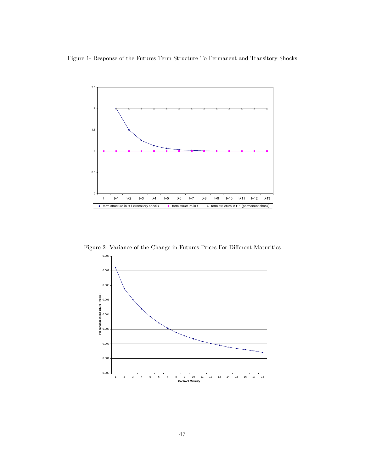Figure 1- Response of the Futures Term Structure To Permanent and Transitory Shocks



Figure 2- Variance of the Change in Futures Prices For Different Maturities

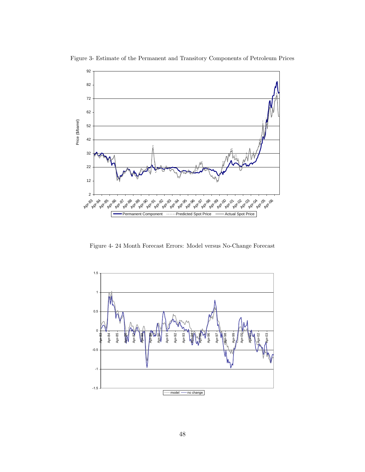

Figure 3- Estimate of the Permanent and Transitory Components of Petroleum Prices

Figure 4- 24 Month Forecast Errors: Model versus No-Change Forecast